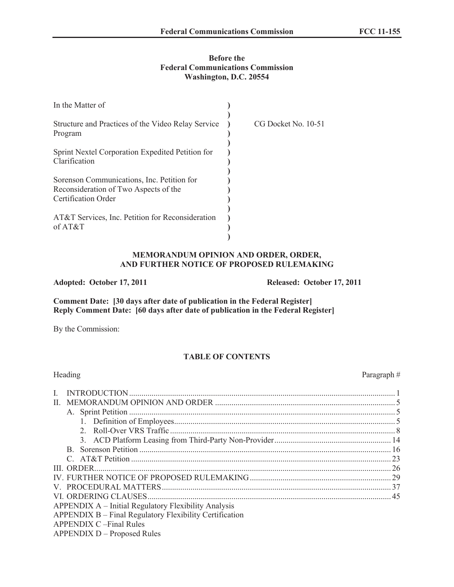### **Before the Federal Communications Commission Washington, D.C. 20554**

| In the Matter of                                                                                           |                     |
|------------------------------------------------------------------------------------------------------------|---------------------|
| Structure and Practices of the Video Relay Service<br>Program                                              | CG Docket No. 10-51 |
| Sprint Nextel Corporation Expedited Petition for<br>Clarification                                          |                     |
| Sorenson Communications, Inc. Petition for<br>Reconsideration of Two Aspects of the<br>Certification Order |                     |
| AT&T Services, Inc. Petition for Reconsideration<br>of $AT&T$                                              |                     |

### **MEMORANDUM OPINION AND ORDER, ORDER, AND FURTHER NOTICE OF PROPOSED RULEMAKING**

### **Adopted: October 17, 2011 Released: October 17, 2011**

**Comment Date: [30 days after date of publication in the Federal Register] Reply Comment Date: [60 days after date of publication in the Federal Register]**

By the Commission:

# **TABLE OF CONTENTS**

| Heading                                                 | Paragraph $#$ |
|---------------------------------------------------------|---------------|
| $\mathbf{I}$                                            |               |
| $\mathbf{H}$                                            |               |
|                                                         |               |
|                                                         |               |
|                                                         |               |
|                                                         |               |
| B.                                                      |               |
|                                                         |               |
| <b>III. ORDER.</b>                                      |               |
|                                                         |               |
|                                                         |               |
|                                                         |               |
| APPENDIX A – Initial Regulatory Flexibility Analysis    |               |
| APPENDIX B – Final Regulatory Flexibility Certification |               |
| <b>APPENDIX C-Final Rules</b>                           |               |
| <b>APPENDIX D – Proposed Rules</b>                      |               |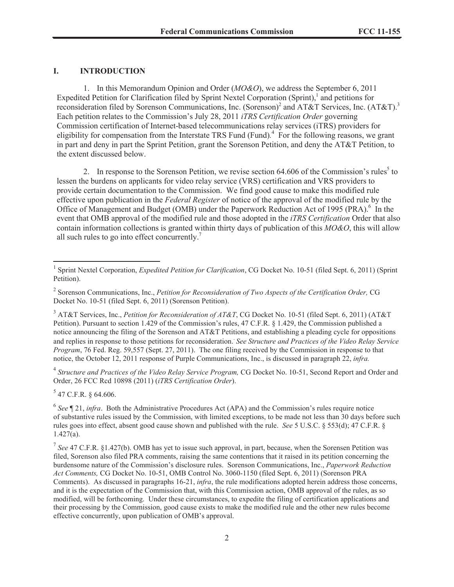### **I. INTRODUCTION**

1. In this Memorandum Opinion and Order (*MO&O*), we address the September 6, 2011 Expedited Petition for Clarification filed by Sprint Nextel Corporation (Sprint),<sup>1</sup> and petitions for reconsideration filed by Sorenson Communications, Inc. (Sorenson)<sup>2</sup> and AT&T Services, Inc. (AT&T).<sup>3</sup> Each petition relates to the Commission's July 28, 2011 *iTRS Certification Order* governing Commission certification of Internet-based telecommunications relay services (iTRS) providers for eligibility for compensation from the Interstate TRS Fund (Fund)*.* 4 For the following reasons, we grant in part and deny in part the Sprint Petition, grant the Sorenson Petition, and deny the AT&T Petition, to the extent discussed below.

2. In response to the Sorenson Petition, we revise section  $64.606$  of the Commission's rules<sup>5</sup> to lessen the burdens on applicants for video relay service (VRS) certification and VRS providers to provide certain documentation to the Commission. We find good cause to make this modified rule effective upon publication in the *Federal Register* of notice of the approval of the modified rule by the Office of Management and Budget (OMB) under the Paperwork Reduction Act of 1995 (PRA).<sup>6</sup> In the event that OMB approval of the modified rule and those adopted in the *iTRS Certification* Order that also contain information collections is granted within thirty days of publication of this *MO&O*, this will allow all such rules to go into effect concurrently.<sup>7</sup>

4 *Structure and Practices of the Video Relay Service Program,* CG Docket No. 10-51, Second Report and Order and Order, 26 FCC Rcd 10898 (2011) (*iTRS Certification Order*).

 $5$  47 C.F.R. § 64.606.

<sup>&</sup>lt;sup>1</sup> Sprint Nextel Corporation, *Expedited Petition for Clarification*, CG Docket No. 10-51 (filed Sept. 6, 2011) (Sprint Petition).

<sup>2</sup> Sorenson Communications, Inc., *Petition for Reconsideration of Two Aspects of the Certification Order,* CG Docket No. 10-51 (filed Sept. 6, 2011) (Sorenson Petition).

<sup>3</sup> AT&T Services, Inc., *Petition for Reconsideration of AT&T*, CG Docket No. 10-51 (filed Sept. 6, 2011) (AT&T Petition). Pursuant to section 1.429 of the Commission's rules, 47 C.F.R. § 1.429, the Commission published a notice announcing the filing of the Sorenson and AT&T Petitions, and establishing a pleading cycle for oppositions and replies in response to those petitions for reconsideration.. *See Structure and Practices of the Video Relay Service Program*, 76 Fed. Reg. 59,557 (Sept. 27, 2011). The one filing received by the Commission in response to that notice, the October 12, 2011 response of Purple Communications, Inc., is discussed in paragraph 22, *infra.*

<sup>&</sup>lt;sup>6</sup> See ¶ 21, *infra*. Both the Administrative Procedures Act (APA) and the Commission's rules require notice of substantive rules issued by the Commission, with limited exceptions, to be made not less than 30 days before such rules goes into effect, absent good cause shown and published with the rule. *See* 5 U.S.C. § 553(d); 47 C.F.R. § 1.427(a).

<sup>7</sup> *See* 47 C.F.R. §1.427(b). OMB has yet to issue such approval, in part, because, when the Sorensen Petition was filed, Sorenson also filed PRA comments, raising the same contentions that it raised in its petition concerning the burdensome nature of the Commission's disclosure rules. Sorenson Communications, Inc., *Paperwork Reduction Act Comments,* CG Docket No. 10-51, OMB Control No. 3060-1150 (filed Sept. 6, 2011) (Sorenson PRA Comments). As discussed in paragraphs 16-21, *infra*, the rule modifications adopted herein address those concerns, and it is the expectation of the Commission that, with this Commission action, OMB approval of the rules, as so modified, will be forthcoming. Under these circumstances, to expedite the filing of certification applications and their processing by the Commission, good cause exists to make the modified rule and the other new rules become effective concurrently, upon publication of OMB's approval.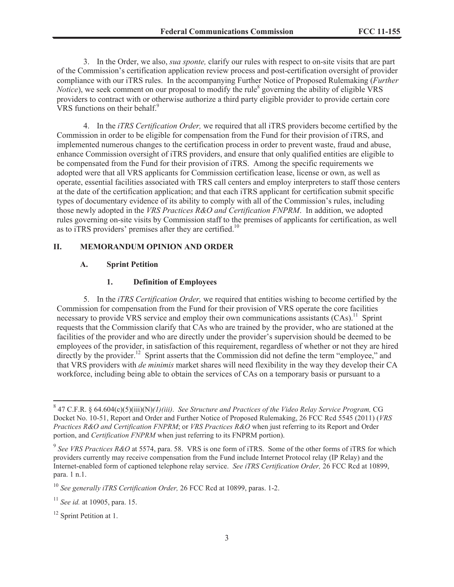3. In the Order, we also, *sua sponte,* clarify our rules with respect to on-site visits that are part of the Commission's certification application review process and post-certification oversight of provider compliance with our iTRS rules. In the accompanying Further Notice of Proposed Rulemaking (*Further Notice*), we seek comment on our proposal to modify the rule<sup>8</sup> governing the ability of eligible VRS providers to contract with or otherwise authorize a third party eligible provider to provide certain core VRS functions on their behalf.<sup>9</sup>

4. In the *iTRS Certification Order,* we required that all iTRS providers become certified by the Commission in order to be eligible for compensation from the Fund for their provision of iTRS, and implemented numerous changes to the certification process in order to prevent waste, fraud and abuse, enhance Commission oversight of iTRS providers, and ensure that only qualified entities are eligible to be compensated from the Fund for their provision of iTRS. Among the specific requirements we adopted were that all VRS applicants for Commission certification lease, license or own, as well as operate, essential facilities associated with TRS call centers and employ interpreters to staff those centers at the date of the certification application; and that each iTRS applicant for certification submit specific types of documentary evidence of its ability to comply with all of the Commission's rules, including those newly adopted in the *VRS Practices R&O and Certification FNPRM*. In addition, we adopted rules governing on-site visits by Commission staff to the premises of applicants for certification, as well as to iTRS providers' premises after they are certified.<sup>10</sup>

### **II. MEMORANDUM OPINION AND ORDER**

### **A. Sprint Petition**

### **1. Definition of Employees**

5. In the *iTRS Certification Order,* we required that entities wishing to become certified by the Commission for compensation from the Fund for their provision of VRS operate the core facilities necessary to provide VRS service and employ their own communications assistants (CAs).<sup>11</sup> Sprint requests that the Commission clarify that CAs who are trained by the provider, who are stationed at the facilities of the provider and who are directly under the provider's supervision should be deemed to be employees of the provider, in satisfaction of this requirement, regardless of whether or not they are hired directly by the provider.<sup>12</sup> Sprint asserts that the Commission did not define the term "employee," and that VRS providers with *de minimis* market shares will need flexibility in the way they develop their CA workforce, including being able to obtain the services of CAs on a temporary basis or pursuant to a

<sup>8</sup> 47 C.F.R. § 64.604(c)(5)(iii)(N)*(1)(iii)*. *See Structure and Practices of the Video Relay Service Program,* CG Docket No. 10-51, Report and Order and Further Notice of Proposed Rulemaking, 26 FCC Rcd 5545 (2011) (*VRS Practices R&O and Certification FNPRM*; or *VRS Practices R&O* when just referring to its Report and Order portion, and *Certification FNPRM* when just referring to its FNPRM portion).

<sup>&</sup>lt;sup>9</sup> See VRS Practices R&O at 5574, para. 58. VRS is one form of iTRS. Some of the other forms of iTRS for which providers currently may receive compensation from the Fund include Internet Protocol relay (IP Relay) and the Internet-enabled form of captioned telephone relay service. *See iTRS Certification Order,* 26 FCC Rcd at 10899, para. 1 n.1.

<sup>10</sup> *See generally iTRS Certification Order,* 26 FCC Rcd at 10899, paras. 1-2.

<sup>11</sup> *See id.* at 10905, para. 15.

<sup>&</sup>lt;sup>12</sup> Sprint Petition at 1.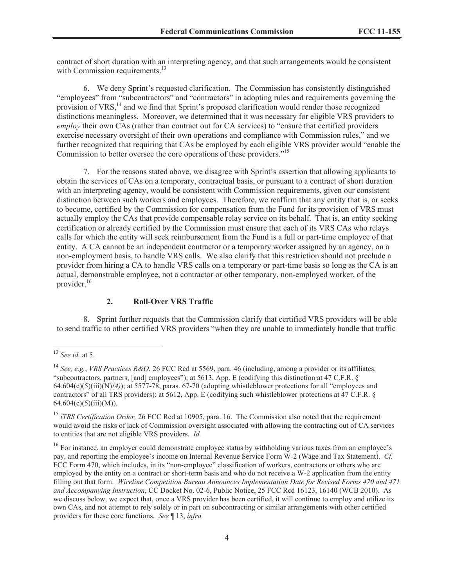contract of short duration with an interpreting agency, and that such arrangements would be consistent with Commission requirements. $^{13}$ 

6. We deny Sprint's requested clarification. The Commission has consistently distinguished "employees" from "subcontractors" and "contractors" in adopting rules and requirements governing the provision of VRS,<sup>14</sup> and we find that Sprint's proposed clarification would render those recognized distinctions meaningless. Moreover, we determined that it was necessary for eligible VRS providers to *employ* their own CAs (rather than contract out for CA services) to "ensure that certified providers exercise necessary oversight of their own operations and compliance with Commission rules," and we further recognized that requiring that CAs be employed by each eligible VRS provider would "enable the Commission to better oversee the core operations of these providers."<sup>15</sup>

7. For the reasons stated above, we disagree with Sprint's assertion that allowing applicants to obtain the services of CAs on a temporary, contractual basis, or pursuant to a contract of short duration with an interpreting agency, would be consistent with Commission requirements, given our consistent distinction between such workers and employees. Therefore, we reaffirm that any entity that is, or seeks to become, certified by the Commission for compensation from the Fund for its provision of VRS must actually employ the CAs that provide compensable relay service on its behalf. That is, an entity seeking certification or already certified by the Commission must ensure that each of its VRS CAs who relays calls for which the entity will seek reimbursement from the Fund is a full or part-time employee of that entity. A CA cannot be an independent contractor or a temporary worker assigned by an agency, on a non-employment basis, to handle VRS calls. We also clarify that this restriction should not preclude a provider from hiring a CA to handle VRS calls on a temporary or part-time basis so long as the CA is an actual, demonstrable employee, not a contractor or other temporary, non-employed worker, of the provider.<sup>16</sup>

### **2. Roll-Over VRS Traffic**

8. Sprint further requests that the Commission clarify that certified VRS providers will be able to send traffic to other certified VRS providers "when they are unable to immediately handle that traffic

<sup>13</sup> *See id.* at 5.

<sup>14</sup> *See, e.g.*, *VRS Practices R&O*, 26 FCC Rcd at 5569, para. 46 (including, among a provider or its affiliates, "subcontractors, partners, [and] employees"); at 5613, App. E (codifying this distinction at 47 C.F.R. § 64.604(c)(5)(iii)(N)*(4)*); at 5577-78, paras. 67-70 (adopting whistleblower protections for all "employees and contractors" of all TRS providers); at 5612, App. E (codifying such whistleblower protections at 47 C.F.R. § 64.604(c)(5)(iii)(M)).

<sup>&</sup>lt;sup>15</sup> *iTRS Certification Order,* 26 FCC Rcd at 10905, para. 16. The Commission also noted that the requirement would avoid the risks of lack of Commission oversight associated with allowing the contracting out of CA services to entities that are not eligible VRS providers. *Id.*

<sup>&</sup>lt;sup>16</sup> For instance, an employer could demonstrate employee status by withholding various taxes from an employee's pay, and reporting the employee's income on Internal Revenue Service Form W-2 (Wage and Tax Statement). *Cf.*  FCC Form 470, which includes, in its "non-employee" classification of workers, contractors or others who are employed by the entity on a contract or short-term basis and who do not receive a W-2 application from the entity filling out that form. *Wireline Competition Bureau Announces Implementation Date for Revised Forms 470 and 471 and Accompanying Instruction*, CC Docket No. 02-6, Public Notice, 25 FCC Rcd 16123, 16140 (WCB 2010). As we discuss below, we expect that, once a VRS provider has been certified, it will continue to employ and utilize its own CAs, and not attempt to rely solely or in part on subcontracting or similar arrangements with other certified providers for these core functions. *See* ¶ 13, *infra.*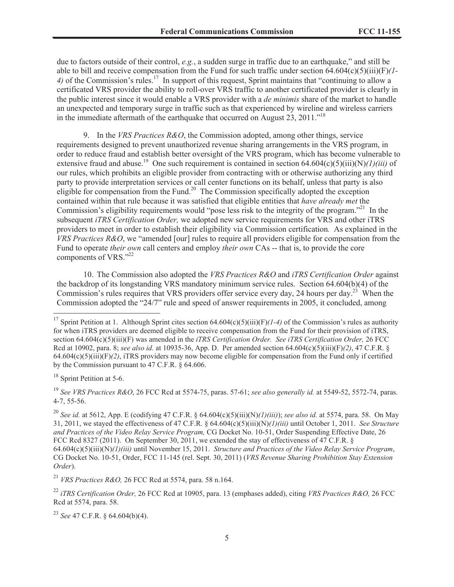due to factors outside of their control, *e.g.*, a sudden surge in traffic due to an earthquake," and still be able to bill and receive compensation from the Fund for such traffic under section 64.604(c)(5)(iii)(F)*(1-* 4) of the Commission's rules.<sup>17</sup> In support of this request, Sprint maintains that "continuing to allow a certificated VRS provider the ability to roll-over VRS traffic to another certificated provider is clearly in the public interest since it would enable a VRS provider with a *de minimis* share of the market to handle an unexpected and temporary surge in traffic such as that experienced by wireline and wireless carriers in the immediate aftermath of the earthquake that occurred on August  $23$ ,  $2011$ ."<sup>18</sup>

9. In the *VRS Practices R&O*, the Commission adopted, among other things, service requirements designed to prevent unauthorized revenue sharing arrangements in the VRS program, in order to reduce fraud and establish better oversight of the VRS program, which has become vulnerable to extensive fraud and abuse.<sup>19</sup> One such requirement is contained in section 64.604(c)(5)(iii)(N)*(1)(iii)* of our rules, which prohibits an eligible provider from contracting with or otherwise authorizing any third party to provide interpretation services or call center functions on its behalf, unless that party is also eligible for compensation from the Fund.<sup>20</sup> The Commission specifically adopted the exception contained within that rule because it was satisfied that eligible entities that *have already met* the Commission's eligibility requirements would "pose less risk to the integrity of the program."<sup>21</sup> In the subsequent *iTRS Certification Order,* we adopted new service requirements for VRS and other iTRS providers to meet in order to establish their eligibility via Commission certification*.* As explained in the *VRS Practices R&O*, we "amended [our] rules to require all providers eligible for compensation from the Fund to operate *their own* call centers and employ *their own* CAs -- that is, to provide the core components of VRS."22

10. The Commission also adopted the *VRS Practices R&O* and *iTRS Certification Order* against the backdrop of its longstanding VRS mandatory minimum service rules. Section 64.604(b)(4) of the Commission's rules requires that VRS providers offer service every day, 24 hours per day.<sup>23</sup> When the Commission adopted the "24/7" rule and speed of answer requirements in 2005, it concluded, among

<sup>19</sup> *See VRS Practices R&O*, 26 FCC Rcd at 5574-75, paras. 57-61; *see also generally id.* at 5549-52, 5572-74, paras. 4-7, 55-56.

<sup>20</sup> *See id.* at 5612, App. E (codifying 47 C.F.R. § 64.604(c)(5)(iii)(N)*(1)(iii)*); *see also id.* at 5574, para. 58. On May 31, 2011, we stayed the effectiveness of 47 C.F.R. § 64.604(c)(5)(iii)(N)*(1)(iii)* until October 1, 2011. *See Structure and Practices of the Video Relay Service Program,* CG Docket No. 10-51, Order Suspending Effective Date, 26 FCC Rcd 8327 (2011). On September 30, 2011, we extended the stay of effectiveness of 47 C.F.R. § 64.604(c)(5)(iii)(N)*(1)(iii)* until November 15, 2011. *Structure and Practices of the Video Relay Service Program*, CG Docket No. 10-51, Order, FCC 11-145 (rel. Sept. 30, 2011) (*VRS Revenue Sharing Prohibition Stay Extension Order*).

<sup>21</sup> *VRS Practices R&O,* 26 FCC Rcd at 5574, para. 58 n.164.

<sup>&</sup>lt;sup>17</sup> Sprint Petition at 1. Although Sprint cites section  $64.604(c)(5)(iii)(F)/1-4$  of the Commission's rules as authority for when iTRS providers are deemed eligible to receive compensation from the Fund for their provision of iTRS, section 64.604(c)(5)(iii)(F) was amended in the *iTRS Certification Order. See iTRS Certification Order*, 26 FCC Rcd at 10902, para. 8; *see also id.* at 10935-36, App. D. Per amended section 64.604(c)(5)(iii)(F)*(2)*, 47 C.F.R. § 64.604(c)(5)(iii)(F)*(2)*, iTRS providers may now become eligible for compensation from the Fund only if certified by the Commission pursuant to 47 C.F.R. § 64.606.

<sup>&</sup>lt;sup>18</sup> Sprint Petition at 5-6.

<sup>22</sup> *iTRS Certification Order,* 26 FCC Rcd at 10905, para. 13 (emphases added), citing *VRS Practices R&O,* 26 FCC Rcd at 5574, para. 58.

<sup>23</sup> *See* 47 C.F.R. § 64.604(b)(4).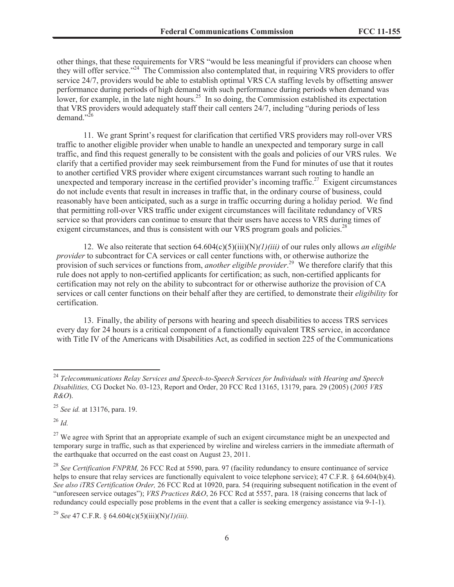other things, that these requirements for VRS "would be less meaningful if providers can choose when they will offer service."<sup>24</sup> The Commission also contemplated that, in requiring VRS providers to offer service 24/7, providers would be able to establish optimal VRS CA staffing levels by offsetting answer performance during periods of high demand with such performance during periods when demand was lower, for example, in the late night hours.<sup>25</sup> In so doing, the Commission established its expectation that VRS providers would adequately staff their call centers 24/7, including "during periods of less demand." $^{26}$ 

11. We grant Sprint's request for clarification that certified VRS providers may roll-over VRS traffic to another eligible provider when unable to handle an unexpected and temporary surge in call traffic, and find this request generally to be consistent with the goals and policies of our VRS rules. We clarify that a certified provider may seek reimbursement from the Fund for minutes of use that it routes to another certified VRS provider where exigent circumstances warrant such routing to handle an unexpected and temporary increase in the certified provider's incoming traffic.<sup>27</sup> Exigent circumstances do not include events that result in increases in traffic that, in the ordinary course of business, could reasonably have been anticipated, such as a surge in traffic occurring during a holiday period. We find that permitting roll-over VRS traffic under exigent circumstances will facilitate redundancy of VRS service so that providers can continue to ensure that their users have access to VRS during times of exigent circumstances, and thus is consistent with our VRS program goals and policies.<sup>28</sup>

12. We also reiterate that section 64.604(c)(5)(iii)(N)*(1)(iii)* of our rules only allows *an eligible provider* to subcontract for CA services or call center functions with, or otherwise authorize the provision of such services or functions from, *another eligible provider*. <sup>29</sup> We therefore clarify that this rule does not apply to non-certified applicants for certification; as such, non-certified applicants for certification may not rely on the ability to subcontract for or otherwise authorize the provision of CA services or call center functions on their behalf after they are certified, to demonstrate their *eligibility* for certification.

13. Finally, the ability of persons with hearing and speech disabilities to access TRS services every day for 24 hours is a critical component of a functionally equivalent TRS service, in accordance with Title IV of the Americans with Disabilities Act, as codified in section 225 of the Communications

<sup>26</sup> *Id.*

<sup>24</sup> *Telecommunications Relay Services and Speech-to-Speech Services for Individuals with Hearing and Speech Disabilities,* CG Docket No. 03-123, Report and Order, 20 FCC Rcd 13165, 13179, para. 29 (2005) (*2005 VRS R&O*).

<sup>25</sup> *See id.* at 13176, para. 19.

 $27$  We agree with Sprint that an appropriate example of such an exigent circumstance might be an unexpected and temporary surge in traffic, such as that experienced by wireline and wireless carriers in the immediate aftermath of the earthquake that occurred on the east coast on August 23, 2011.

<sup>&</sup>lt;sup>28</sup> See Certification FNPRM, 26 FCC Rcd at 5590, para. 97 (facility redundancy to ensure continuance of service helps to ensure that relay services are functionally equivalent to voice telephone service); 47 C.F.R. § 64.604(b)(4). *See also iTRS Certification Order,* 26 FCC Rcd at 10920, para. 54 (requiring subsequent notification in the event of "unforeseen service outages"); *VRS Practices R&O*, 26 FCC Rcd at 5557, para. 18 (raising concerns that lack of redundancy could especially pose problems in the event that a caller is seeking emergency assistance via 9-1-1).

<sup>29</sup> *See* 47 C.F.R. § 64.604(c)(5)(iii)(N)*(1)(iii).*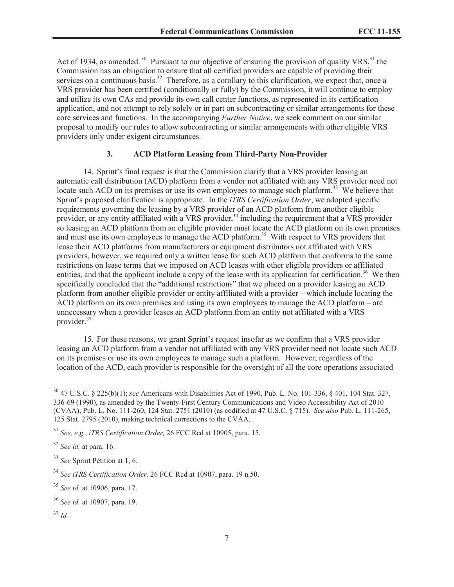Act of 1934, as amended.<sup>30</sup> Pursuant to our objective of ensuring the provision of quality VRS,<sup>31</sup> the Commission has an obligation to ensure that all certified providers are capable of providing their services on a continuous basis.<sup>32</sup> Therefore, as a corollary to this clarification, we expect that, once a VRS provider has been certified (conditionally or fully) by the Commission, it will continue to employ and utilize its own CAs and provide its own call center functions, as represented in its certification application, and not attempt to rely solely or in part on subcontracting or similar arrangements for these core services and functions. In the accompanying *Further Notice*, we seek comment on our similar proposal to modify our rules to allow subcontracting or similar arrangements with other eligible VRS providers only under exigent circumstances.

### **3. ACD Platform Leasing from Third-Party Non-Provider**

14. Sprint's final request is that the Commission clarify that a VRS provider leasing an automatic call distribution (ACD) platform from a vendor not affiliated with any VRS provider need not locate such ACD on its premises or use its own employees to manage such platform.<sup>33</sup> We believe that Sprint's proposed clarification is appropriate. In the *iTRS Certification Order*, we adopted specific requirements governing the leasing by a VRS provider of an ACD platform from another eligible provider, or any entity affiliated with a VRS provider,<sup>34</sup> including the requirement that a VRS provider so leasing an ACD platform from an eligible provider must locate the ACD platform on its own premises and must use its own employees to manage the ACD platform. <sup>35</sup> With respect to VRS providers that lease their ACD platforms from manufacturers or equipment distributors not affiliated with VRS providers, however, we required only a written lease for such ACD platform that conforms to the same restrictions on lease terms that we imposed on ACD leases with other eligible providers or affiliated entities, and that the applicant include a copy of the lease with its application for certification.<sup>36</sup> We then specifically concluded that the "additional restrictions" that we placed on a provider leasing an ACD platform from another eligible provider or entity affiliated with a provider – which include locating the ACD platform on its own premises and using its own employees to manage the ACD platform – are unnecessary when a provider leases an ACD platform from an entity not affiliated with a VRS provider.<sup>37</sup>

15. For these reasons, we grant Sprint's request insofar as we confirm that a VRS provider leasing an ACD platform from a vendor not affiliated with any VRS provider need not locate such ACD on its premises or use its own employees to manage such a platform. However, regardless of the location of the ACD, each provider is responsible for the oversight of all the core operations associated

<sup>30</sup> 47 U.S.C. § 225(b)(1); *see* Americans with Disabilities Act of 1990, Pub. L. No. 101-336, § 401, 104 Stat. 327, 336-69 (1990), as amended by the Twenty-First Century Communications and Video Accessibility Act of 2010 (CVAA), Pub. L. No. 111-260, 124 Stat. 2751 (2010) (as codified at 47 U.S.C. § 715). *See also* Pub. L. 111-265, 125 Stat. 2795 (2010), making technical corrections to the CVAA.

<sup>31</sup> *See, e.g.*, *iTRS Certification Order,* 26 FCC Rcd at 10905, para. 15.

<sup>32</sup> *See id.* at para. 16.

<sup>33</sup> *See* Sprint Petition at 1, 6.

<sup>34</sup> *See iTRS Certification Order,* 26 FCC Rcd at 10907, para. 19 n.50.

<sup>35</sup> *See id.* at 10906, para. 17.

<sup>36</sup> *See id.* at 10907, para. 19.

<sup>37</sup> *Id.*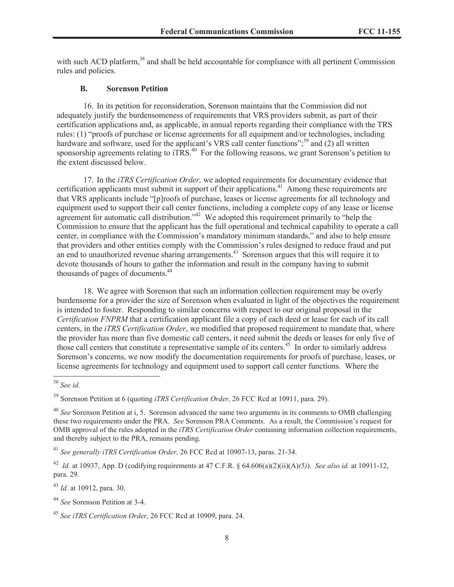with such ACD platform,<sup>38</sup> and shall be held accountable for compliance with all pertinent Commission rules and policies.

#### **B. Sorenson Petition**

16. In its petition for reconsideration, Sorenson maintains that the Commission did not adequately justify the burdensomeness of requirements that VRS providers submit, as part of their certification applications and, as applicable, in annual reports regarding their compliance with the TRS rules: (1) "proofs of purchase or license agreements for all equipment and/or technologies, including hardware and software, used for the applicant's VRS call center functions";<sup>39</sup> and (2) all written sponsorship agreements relating to  $iTRS<sup>40</sup>$ . For the following reasons, we grant Sorenson's petition to the extent discussed below.

17. In the *iTRS Certification Order,* we adopted requirements for documentary evidence that certification applicants must submit in support of their applications.<sup>41</sup> Among these requirements are that VRS applicants include "[p]roofs of purchase, leases or license agreements for all technology and equipment used to support their call center functions, including a complete copy of any lease or license agreement for automatic call distribution."<sup>42</sup> We adopted this requirement primarily to "help the Commission to ensure that the applicant has the full operational and technical capability to operate a call center, in compliance with the Commission's mandatory minimum standards," and also to help ensure that providers and other entities comply with the Commission's rules designed to reduce fraud and put an end to unauthorized revenue sharing arrangements.<sup>43</sup> Sorenson argues that this will require it to devote thousands of hours to gather the information and result in the company having to submit thousands of pages of documents.<sup>44</sup>

18. We agree with Sorenson that such an information collection requirement may be overly burdensome for a provider the size of Sorenson when evaluated in light of the objectives the requirement is intended to foster. Responding to similar concerns with respect to our original proposal in the *Certification FNPRM* that a certification applicant file a copy of each deed or lease for each of its call centers, in the *iTRS Certification Order*, we modified that proposed requirement to mandate that, where the provider has more than five domestic call centers, it need submit the deeds or leases for only five of those call centers that constitute a representative sample of its centers.<sup>45</sup> In order to similarly address Sorenson's concerns, we now modify the documentation requirements for proofs of purchase, leases, or license agreements for technology and equipment used to support call center functions. Where the

<sup>41</sup> *See generally iTRS Certification Order,* 26 FCC Rcd at 10907-13, paras. 21-34.

<sup>43</sup> *Id.* at 10912, para. 30.

<sup>38</sup> *See id.*

<sup>39</sup> Sorenson Petition at 6 (quoting *iTRS Certification Order,* 26 FCC Rcd at 10911, para. 29).

<sup>40</sup> *See* Sorenson Petition at i, 5. Sorenson advanced the same two arguments in its comments to OMB challenging these two requirements under the PRA. *See* Sorenson PRA Comments. As a result, the Commission's request for OMB approval of the rules adopted in the *iTRS Certification Order* containing information collection requirements, and thereby subject to the PRA, remains pending.

<sup>42</sup> *Id.* at 10937, App. D (codifying requirements at 47 C.F.R. § 64.606(a)(2)(ii)(A)*(5)*). *See also id.* at 10911-12, para. 29.

<sup>44</sup> *See* Sorenson Petition at 3-4.

<sup>45</sup> *See iTRS Certification Order,* 26 FCC Rcd at 10909, para. 24.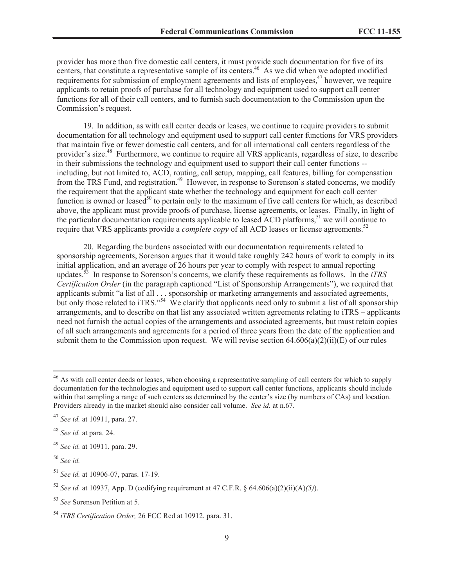provider has more than five domestic call centers, it must provide such documentation for five of its centers, that constitute a representative sample of its centers.<sup>46</sup> As we did when we adopted modified requirements for submission of employment agreements and lists of employees,<sup>47</sup> however, we require applicants to retain proofs of purchase for all technology and equipment used to support call center functions for all of their call centers, and to furnish such documentation to the Commission upon the Commission's request.

19. In addition, as with call center deeds or leases, we continue to require providers to submit documentation for all technology and equipment used to support call center functions for VRS providers that maintain five or fewer domestic call centers, and for all international call centers regardless of the provider's size.<sup>48</sup> Furthermore, we continue to require all VRS applicants, regardless of size, to describe in their submissions the technology and equipment used to support their call center functions - including, but not limited to, ACD, routing, call setup, mapping, call features, billing for compensation from the TRS Fund, and registration.<sup>49</sup> However, in response to Sorenson's stated concerns, we modify the requirement that the applicant state whether the technology and equipment for each call center function is owned or leased<sup>50</sup> to pertain only to the maximum of five call centers for which, as described above, the applicant must provide proofs of purchase, license agreements, or leases. Finally, in light of the particular documentation requirements applicable to leased ACD platforms,<sup>51</sup> we will continue to require that VRS applicants provide a *complete copy* of all ACD leases or license agreements.<sup>52</sup>

20. Regarding the burdens associated with our documentation requirements related to sponsorship agreements, Sorenson argues that it would take roughly 242 hours of work to comply in its initial application, and an average of 26 hours per year to comply with respect to annual reporting updates.<sup>53</sup> In response to Sorenson's concerns, we clarify these requirements as follows. In the *iTRS Certification Order* (in the paragraph captioned "List of Sponsorship Arrangements"), we required that applicants submit "a list of all . . . sponsorship or marketing arrangements and associated agreements, but only those related to iTRS."<sup>54</sup> We clarify that applicants need only to submit a list of all sponsorship arrangements, and to describe on that list any associated written agreements relating to iTRS – applicants need not furnish the actual copies of the arrangements and associated agreements, but must retain copies of all such arrangements and agreements for a period of three years from the date of the application and submit them to the Commission upon request. We will revise section  $64.606(a)(2)(ii)(E)$  of our rules

<sup>&</sup>lt;sup>46</sup> As with call center deeds or leases, when choosing a representative sampling of call centers for which to supply documentation for the technologies and equipment used to support call center functions, applicants should include within that sampling a range of such centers as determined by the center's size (by numbers of CAs) and location. Providers already in the market should also consider call volume. *See id.* at n.67.

<sup>47</sup> *See id.* at 10911, para. 27.

<sup>48</sup> *See id.* at para. 24.

<sup>49</sup> *See id.* at 10911, para. 29.

<sup>50</sup> *See id.*

<sup>51</sup> *See id.* at 10906-07, paras. 17-19.

<sup>52</sup> *See id.* at 10937, App. D (codifying requirement at 47 C.F.R. § 64.606(a)(2)(ii)(A)*(5)*).

<sup>53</sup> *See* Sorenson Petition at 5.

<sup>54</sup> *iTRS Certification Order,* 26 FCC Rcd at 10912, para. 31.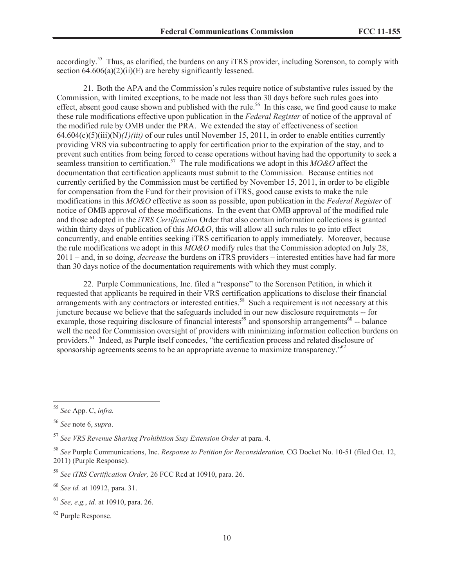accordingly.<sup>55</sup> Thus, as clarified, the burdens on any iTRS provider, including Sorenson, to comply with section  $64.606(a)(2)(ii)(E)$  are hereby significantly lessened.

21. Both the APA and the Commission's rules require notice of substantive rules issued by the Commission, with limited exceptions, to be made not less than 30 days before such rules goes into effect, absent good cause shown and published with the rule.<sup>56</sup> In this case, we find good cause to make these rule modifications effective upon publication in the *Federal Register* of notice of the approval of the modified rule by OMB under the PRA. We extended the stay of effectiveness of section 64.604(c)(5)(iii)(N)*(1)(iii)* of our rules until November 15, 2011, in order to enable entities currently providing VRS via subcontracting to apply for certification prior to the expiration of the stay, and to prevent such entities from being forced to cease operations without having had the opportunity to seek a seamless transition to certification.<sup>57</sup> The rule modifications we adopt in this *MO&O* affect the documentation that certification applicants must submit to the Commission. Because entities not currently certified by the Commission must be certified by November 15, 2011, in order to be eligible for compensation from the Fund for their provision of iTRS, good cause exists to make the rule modifications in this *MO&O* effective as soon as possible, upon publication in the *Federal Register* of notice of OMB approval of these modifications. In the event that OMB approval of the modified rule and those adopted in the *iTRS Certification* Order that also contain information collections is granted within thirty days of publication of this *MO&O*, this will allow all such rules to go into effect concurrently, and enable entities seeking iTRS certification to apply immediately. Moreover, because the rule modifications we adopt in this *MO&O* modify rules that the Commission adopted on July 28, 2011 – and, in so doing, *decrease* the burdens on iTRS providers – interested entities have had far more than 30 days notice of the documentation requirements with which they must comply.

22. Purple Communications, Inc. filed a "response" to the Sorenson Petition, in which it requested that applicants be required in their VRS certification applications to disclose their financial arrangements with any contractors or interested entities.<sup>58</sup> Such a requirement is not necessary at this juncture because we believe that the safeguards included in our new disclosure requirements -- for example, those requiring disclosure of financial interests<sup>59</sup> and sponsorship arrangements<sup>60</sup> -- balance well the need for Commission oversight of providers with minimizing information collection burdens on providers.<sup>61</sup> Indeed, as Purple itself concedes, "the certification process and related disclosure of sponsorship agreements seems to be an appropriate avenue to maximize transparency."<sup>62</sup>

<sup>55</sup> *See* App. C, *infra.*

<sup>56</sup> *See* note 6, *supra*.

<sup>57</sup> *See VRS Revenue Sharing Prohibition Stay Extension Order* at para. 4.

<sup>58</sup> *See* Purple Communications, Inc. *Response to Petition for Reconsideration,* CG Docket No. 10-51 (filed Oct. 12, 2011) (Purple Response).

<sup>59</sup> *See iTRS Certification Order,* 26 FCC Rcd at 10910, para. 26.

<sup>60</sup> *See id.* at 10912, para. 31.

<sup>61</sup> *See, e.g.*, *id.* at 10910, para. 26.

<sup>62</sup> Purple Response.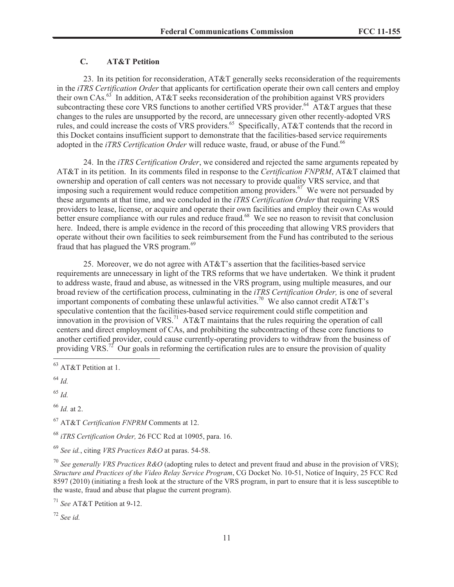# **C. AT&T Petition**

23. In its petition for reconsideration, AT&T generally seeks reconsideration of the requirements in the *iTRS Certification Order* that applicants for certification operate their own call centers and employ their own CAs.<sup>63</sup> In addition, AT&T seeks reconsideration of the prohibition against VRS providers subcontracting these core VRS functions to another certified VRS provider.<sup>64</sup> AT&T argues that these changes to the rules are unsupported by the record, are unnecessary given other recently-adopted VRS rules, and could increase the costs of VRS providers.<sup>65</sup> Specifically, AT&T contends that the record in this Docket contains insufficient support to demonstrate that the facilities-based service requirements adopted in the *iTRS Certification Order* will reduce waste, fraud, or abuse of the Fund.<sup>66</sup>

24. In the *iTRS Certification Order*, we considered and rejected the same arguments repeated by AT&T in its petition. In its comments filed in response to the *Certification FNPRM*, AT&T claimed that ownership and operation of call centers was not necessary to provide quality VRS service, and that imposing such a requirement would reduce competition among providers.<sup>67</sup> We were not persuaded by these arguments at that time, and we concluded in the *iTRS Certification Order* that requiring VRS providers to lease, license, or acquire and operate their own facilities and employ their own CAs would better ensure compliance with our rules and reduce fraud.<sup>68</sup> We see no reason to revisit that conclusion here. Indeed, there is ample evidence in the record of this proceeding that allowing VRS providers that operate without their own facilities to seek reimbursement from the Fund has contributed to the serious fraud that has plagued the VRS program.<sup>69</sup>

25. Moreover, we do not agree with AT&T's assertion that the facilities-based service requirements are unnecessary in light of the TRS reforms that we have undertaken. We think it prudent to address waste, fraud and abuse, as witnessed in the VRS program, using multiple measures, and our broad review of the certification process, culminating in the *iTRS Certification Order,* is one of several important components of combating these unlawful activities.<sup>70</sup> We also cannot credit AT&T's speculative contention that the facilities-based service requirement could stifle competition and innovation in the provision of VRS.<sup>71</sup> AT&T maintains that the rules requiring the operation of call centers and direct employment of CAs, and prohibiting the subcontracting of these core functions to another certified provider, could cause currently-operating providers to withdraw from the business of providing VRS.<sup>72</sup> Our goals in reforming the certification rules are to ensure the provision of quality

<sup>64</sup> *Id.*

<sup>65</sup> *Id.*

<sup>66</sup> *Id.* at 2.

<sup>67</sup> AT&T *Certification FNPRM* Comments at 12.

<sup>68</sup> *iTRS Certification Order,* 26 FCC Rcd at 10905, para. 16.

<sup>69</sup> *See id.*, citing *VRS Practices R&O* at paras. 54-58.

<sup>70</sup> *See generally VRS Practices R&O* (adopting rules to detect and prevent fraud and abuse in the provision of VRS); *Structure and Practices of the Video Relay Service Program*, CG Docket No. 10-51, Notice of Inquiry, 25 FCC Rcd 8597 (2010) (initiating a fresh look at the structure of the VRS program, in part to ensure that it is less susceptible to the waste, fraud and abuse that plague the current program).

<sup>71</sup> *See* AT&T Petition at 9-12.

<sup>72</sup> *See id.*

<sup>&</sup>lt;sup>63</sup> AT&T Petition at 1.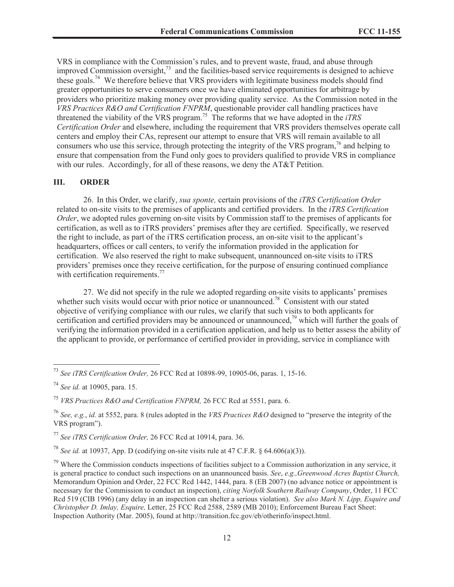VRS in compliance with the Commission's rules, and to prevent waste, fraud, and abuse through improved Commission oversight, $73$  and the facilities-based service requirements is designed to achieve these goals.<sup>74</sup> We therefore believe that VRS providers with legitimate business models should find greater opportunities to serve consumers once we have eliminated opportunities for arbitrage by providers who prioritize making money over providing quality service. As the Commission noted in the *VRS Practices R&O and Certification FNPRM*, questionable provider call handling practices have threatened the viability of the VRS program.<sup>75</sup> The reforms that we have adopted in the *iTRS Certification Order* and elsewhere, including the requirement that VRS providers themselves operate call centers and employ their CAs, represent our attempt to ensure that VRS will remain available to all consumers who use this service, through protecting the integrity of the VRS program,  $\frac{7}{6}$  and helping to ensure that compensation from the Fund only goes to providers qualified to provide VRS in compliance with our rules. Accordingly, for all of these reasons, we deny the AT&T Petition.

### **III. ORDER**

26. In this Order, we clarify, *sua sponte,* certain provisions of the *iTRS Certification Order* related to on-site visits to the premises of applicants and certified providers. In the *iTRS Certification Order*, we adopted rules governing on-site visits by Commission staff to the premises of applicants for certification, as well as to iTRS providers' premises after they are certified. Specifically, we reserved the right to include, as part of the iTRS certification process, an on-site visit to the applicant's headquarters, offices or call centers, to verify the information provided in the application for certification. We also reserved the right to make subsequent, unannounced on-site visits to iTRS providers' premises once they receive certification, for the purpose of ensuring continued compliance with certification requirements.<sup>77</sup>

27. We did not specify in the rule we adopted regarding on-site visits to applicants' premises whether such visits would occur with prior notice or unannounced.<sup>78</sup> Consistent with our stated objective of verifying compliance with our rules, we clarify that such visits to both applicants for certification and certified providers may be announced or unannounced,<sup>79</sup> which will further the goals of verifying the information provided in a certification application, and help us to better assess the ability of the applicant to provide, or performance of certified provider in providing, service in compliance with

<sup>78</sup> *See id.* at 10937, App. D (codifying on-site visits rule at 47 C.F.R. § 64.606(a)(3)).

<sup>73</sup> *See iTRS Certification Order,* 26 FCC Rcd at 10898-99, 10905-06, paras. 1, 15-16.

<sup>74</sup> *See id.* at 10905, para. 15.

<sup>75</sup> *VRS Practices R&O and Certification FNPRM,* 26 FCC Rcd at 5551, para. 6.

<sup>76</sup> *See, e.g.*, *id.* at 5552, para. 8 (rules adopted in the *VRS Practices R&O* designed to "preserve the integrity of the VRS program").

<sup>77</sup> *See iTRS Certification Order,* 26 FCC Rcd at 10914, para. 36.

 $79$  Where the Commission conducts inspections of facilities subject to a Commission authorization in any service, it is general practice to conduct such inspections on an unannounced basis. *See*, *e.g.,Greenwood Acres Baptist Church,*  Memorandum Opinion and Order, 22 FCC Rcd 1442, 1444, para. 8 (EB 2007) (no advance notice or appointment is necessary for the Commission to conduct an inspection), *citing Norfolk Southern Railway Company*, Order, 11 FCC Rcd 519 (CIB 1996) (any delay in an inspection can shelter a serious violation). *See also Mark N. Lipp, Esquire and Christopher D. Imlay, Esquire,* Letter, 25 FCC Rcd 2588, 2589 (MB 2010); Enforcement Bureau Fact Sheet: Inspection Authority (Mar. 2005), found at http://transition.fcc.gov/eb/otherinfo/inspect.html.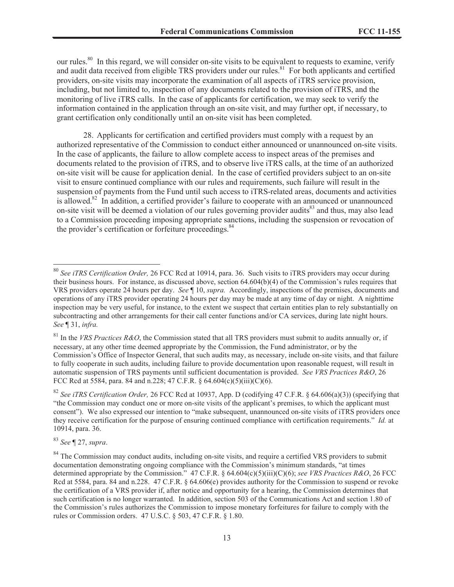our rules.<sup>80</sup> In this regard, we will consider on-site visits to be equivalent to requests to examine, verify and audit data received from eligible TRS providers under our rules.<sup>81</sup> For both applicants and certified providers, on-site visits may incorporate the examination of all aspects of iTRS service provision, including, but not limited to, inspection of any documents related to the provision of iTRS, and the monitoring of live iTRS calls. In the case of applicants for certification, we may seek to verify the information contained in the application through an on-site visit, and may further opt, if necessary, to grant certification only conditionally until an on-site visit has been completed.

28. Applicants for certification and certified providers must comply with a request by an authorized representative of the Commission to conduct either announced or unannounced on-site visits. In the case of applicants, the failure to allow complete access to inspect areas of the premises and documents related to the provision of iTRS, and to observe live iTRS calls, at the time of an authorized on-site visit will be cause for application denial. In the case of certified providers subject to an on-site visit to ensure continued compliance with our rules and requirements, such failure will result in the suspension of payments from the Fund until such access to iTRS-related areas, documents and activities is allowed.<sup>82</sup> In addition, a certified provider's failure to cooperate with an announced or unannounced on-site visit will be deemed a violation of our rules governing provider audits<sup>83</sup> and thus, may also lead to a Commission proceeding imposing appropriate sanctions, including the suspension or revocation of the provider's certification or forfeiture proceedings.<sup>84</sup>

<sup>83</sup> *See* ¶ 27, *supra*.

<sup>80</sup> *See iTRS Certification Order,* 26 FCC Rcd at 10914, para. 36. Such visits to iTRS providers may occur during their business hours. For instance, as discussed above, section 64.604(b)(4) of the Commission's rules requires that VRS providers operate 24 hours per day. *See* ¶ 10, *supra.* Accordingly, inspections of the premises, documents and operations of any iTRS provider operating 24 hours per day may be made at any time of day or night. A nighttime inspection may be very useful, for instance, to the extent we suspect that certain entities plan to rely substantially on subcontracting and other arrangements for their call center functions and/or CA services, during late night hours. *See* ¶ 31, *infra.* 

<sup>&</sup>lt;sup>81</sup> In the *VRS Practices R&O*, the Commission stated that all TRS providers must submit to audits annually or, if necessary, at any other time deemed appropriate by the Commission, the Fund administrator, or by the Commission's Office of Inspector General, that such audits may, as necessary, include on-site visits, and that failure to fully cooperate in such audits, including failure to provide documentation upon reasonable request, will result in automatic suspension of TRS payments until sufficient documentation is provided. *See VRS Practices R&O*, 26 FCC Rcd at 5584, para. 84 and n.228; 47 C.F.R.  $\frac{64.604(c)(5)(iii)(C)(6)}{60}$ .

<sup>82</sup> *See iTRS Certification Order,* 26 FCC Rcd at 10937, App. D (codifying 47 C.F.R. § 64.606(a)(3)) (specifying that "the Commission may conduct one or more on-site visits of the applicant's premises, to which the applicant must consent"). We also expressed our intention to "make subsequent, unannounced on-site visits of iTRS providers once they receive certification for the purpose of ensuring continued compliance with certification requirements." *Id.* at 10914, para. 36.

<sup>&</sup>lt;sup>84</sup> The Commission may conduct audits, including on-site visits, and require a certified VRS providers to submit documentation demonstrating ongoing compliance with the Commission's minimum standards, "at times determined appropriate by the Commission." 47 C.F.R. § 64.604(c)(5)(iii)(C)(6); *see VRS Practices R&O*, 26 FCC Rcd at 5584, para. 84 and n.228. 47 C.F.R. § 64.606(e) provides authority for the Commission to suspend or revoke the certification of a VRS provider if, after notice and opportunity for a hearing, the Commission determines that such certification is no longer warranted. In addition, section 503 of the Communications Act and section 1.80 of the Commission's rules authorizes the Commission to impose monetary forfeitures for failure to comply with the rules or Commission orders. 47 U.S.C. § 503, 47 C.F.R. § 1.80.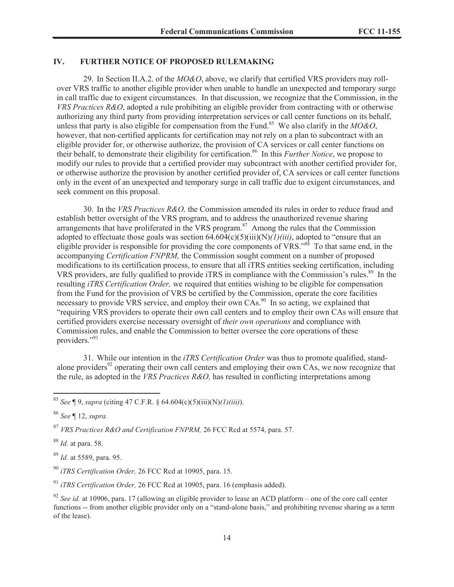### **IV. FURTHER NOTICE OF PROPOSED RULEMAKING**

29. In Section II.A.2. of the *MO&O*, above, we clarify that certified VRS providers may rollover VRS traffic to another eligible provider when unable to handle an unexpected and temporary surge in call traffic due to exigent circumstances. In that discussion, we recognize that the Commission, in the *VRS Practices R&O*, adopted a rule prohibiting an eligible provider from contracting with or otherwise authorizing any third party from providing interpretation services or call center functions on its behalf, unless that party is also eligible for compensation from the Fund.<sup>85</sup> We also clarify in the *MO&O*, however, that non-certified applicants for certification may not rely on a plan to subcontract with an eligible provider for, or otherwise authorize, the provision of CA services or call center functions on their behalf, to demonstrate their eligibility for certification.<sup>86</sup> In this *Further Notice*, we propose to modify our rules to provide that a certified provider may subcontract with another certified provider for, or otherwise authorize the provision by another certified provider of, CA services or call center functions only in the event of an unexpected and temporary surge in call traffic due to exigent circumstances, and seek comment on this proposal.

30. In the *VRS Practices R&O,* the Commission amended its rules in order to reduce fraud and establish better oversight of the VRS program, and to address the unauthorized revenue sharing arrangements that have proliferated in the VRS program.<sup>87</sup> Among the rules that the Commission adopted to effectuate those goals was section 64.604(c)(5)(iii)(N)*(1)(iii)*, adopted to "ensure that an eligible provider is responsible for providing the core components of VRS."<sup>88</sup> To that same end, in the accompanying *Certification FNPRM,* the Commission sought comment on a number of proposed modifications to its certification process, to ensure that all iTRS entities seeking certification, including VRS providers, are fully qualified to provide iTRS in compliance with the Commission's rules.<sup>89</sup> In the resulting *iTRS Certification Order,* we required that entities wishing to be eligible for compensation from the Fund for the provision of VRS be certified by the Commission, operate the core facilities necessary to provide VRS service, and employ their own CAs.<sup>90</sup> In so acting, we explained that "requiring VRS providers to operate their own call centers and to employ their own CAs will ensure that certified providers exercise necessary oversight of *their own operations* and compliance with Commission rules, and enable the Commission to better oversee the core operations of these providers."<sup>91</sup>

31. While our intention in the *iTRS Certification Order* was thus to promote qualified, standalone providers<sup>92</sup> operating their own call centers and employing their own CAs, we now recognize that the rule, as adopted in the *VRS Practices R&O,* has resulted in conflicting interpretations among

<sup>86</sup> *See* ¶ 12, *supra.*

<sup>88</sup> *Id.* at para. 58.

<sup>89</sup> *Id.* at 5589, para. 95.

<sup>90</sup> *iTRS Certification Order,* 26 FCC Rcd at 10905, para. 15.

<sup>91</sup> *iTRS Certification Order,* 26 FCC Rcd at 10905, para. 16 (emphasis added).

<sup>85</sup> *See* ¶ 9, *supra* (citing 47 C.F.R. § 64.604(c)(5)(iii)(N)*(1)(iii)*).

<sup>87</sup> *VRS Practices R&O and Certification FNPRM,* 26 FCC Rcd at 5574, para. 57.

<sup>92</sup> *See id.* at 10906, para. 17 (allowing an eligible provider to lease an ACD platform – one of the core call center functions -- from another eligible provider only on a "stand-alone basis," and prohibiting revenue sharing as a term of the lease).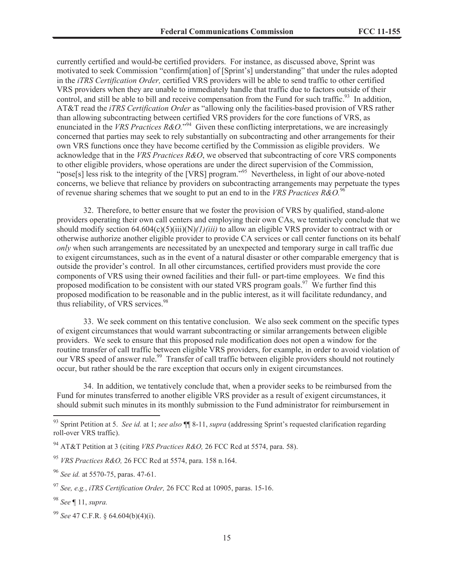currently certified and would-be certified providers. For instance, as discussed above, Sprint was motivated to seek Commission "confirm[ation] of [Sprint's] understanding" that under the rules adopted in the *iTRS Certification Order,* certified VRS providers will be able to send traffic to other certified VRS providers when they are unable to immediately handle that traffic due to factors outside of their control, and still be able to bill and receive compensation from the Fund for such traffic.<sup>93</sup> In addition, AT&T read the *iTRS Certification Order* as "allowing only the facilities-based provision of VRS rather than allowing subcontracting between certified VRS providers for the core functions of VRS, as enunciated in the *VRS Practices R&O*."<sup>94</sup> Given these conflicting interpretations, we are increasingly concerned that parties may seek to rely substantially on subcontracting and other arrangements for their own VRS functions once they have become certified by the Commission as eligible providers. We acknowledge that in the *VRS Practices R&O*, we observed that subcontracting of core VRS components to other eligible providers, whose operations are under the direct supervision of the Commission, "pose[s] less risk to the integrity of the [VRS] program."<sup>95</sup> Nevertheless, in light of our above-noted concerns, we believe that reliance by providers on subcontracting arrangements may perpetuate the types of revenue sharing schemes that we sought to put an end to in the *VRS Practices R&O.*<sup>96</sup>

32. Therefore, to better ensure that we foster the provision of VRS by qualified, stand-alone providers operating their own call centers and employing their own CAs, we tentatively conclude that we should modify section 64.604(c)(5)(iii)(N)*(1)(iii)* to allow an eligible VRS provider to contract with or otherwise authorize another eligible provider to provide CA services or call center functions on its behalf *only* when such arrangements are necessitated by an unexpected and temporary surge in call traffic due to exigent circumstances, such as in the event of a natural disaster or other comparable emergency that is outside the provider's control. In all other circumstances, certified providers must provide the core components of VRS using their owned facilities and their full- or part-time employees. We find this proposed modification to be consistent with our stated VRS program goals.<sup>97</sup> We further find this proposed modification to be reasonable and in the public interest, as it will facilitate redundancy, and thus reliability, of VRS services.<sup>98</sup>

33. We seek comment on this tentative conclusion. We also seek comment on the specific types of exigent circumstances that would warrant subcontracting or similar arrangements between eligible providers. We seek to ensure that this proposed rule modification does not open a window for the routine transfer of call traffic between eligible VRS providers, for example, in order to avoid violation of our VRS speed of answer rule.<sup>99</sup> Transfer of call traffic between eligible providers should not routinely occur, but rather should be the rare exception that occurs only in exigent circumstances.

34. In addition, we tentatively conclude that, when a provider seeks to be reimbursed from the Fund for minutes transferred to another eligible VRS provider as a result of exigent circumstances, it should submit such minutes in its monthly submission to the Fund administrator for reimbursement in

<sup>93</sup> Sprint Petition at 5. *See id.* at 1; *see also* ¶¶ 8-11, *supra* (addressing Sprint's requested clarification regarding roll-over VRS traffic).

<sup>94</sup> AT&T Petition at 3 (citing *VRS Practices R&O,* 26 FCC Rcd at 5574, para. 58).

<sup>95</sup> *VRS Practices R&O,* 26 FCC Rcd at 5574, para. 158 n.164.

<sup>96</sup> *See id.* at 5570-75, paras. 47-61.

<sup>97</sup> *See, e.g.*, *iTRS Certification Order,* 26 FCC Rcd at 10905, paras. 15-16.

<sup>98</sup> *See* ¶ 11, *supra.*

<sup>99</sup> *See* 47 C.F.R. § 64.604(b)(4)(i).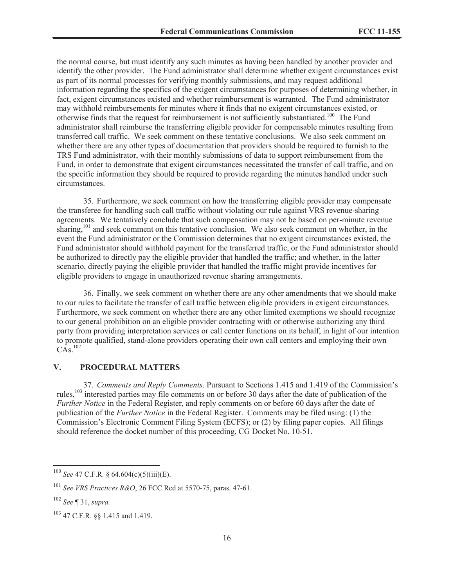the normal course, but must identify any such minutes as having been handled by another provider and identify the other provider. The Fund administrator shall determine whether exigent circumstances exist as part of its normal processes for verifying monthly submissions, and may request additional information regarding the specifics of the exigent circumstances for purposes of determining whether, in fact, exigent circumstances existed and whether reimbursement is warranted. The Fund administrator may withhold reimbursements for minutes where it finds that no exigent circumstances existed, or otherwise finds that the request for reimbursement is not sufficiently substantiated.<sup>100</sup> The Fund administrator shall reimburse the transferring eligible provider for compensable minutes resulting from transferred call traffic. We seek comment on these tentative conclusions. We also seek comment on whether there are any other types of documentation that providers should be required to furnish to the TRS Fund administrator, with their monthly submissions of data to support reimbursement from the Fund, in order to demonstrate that exigent circumstances necessitated the transfer of call traffic, and on the specific information they should be required to provide regarding the minutes handled under such circumstances.

35. Furthermore, we seek comment on how the transferring eligible provider may compensate the transferee for handling such call traffic without violating our rule against VRS revenue-sharing agreements. We tentatively conclude that such compensation may not be based on per-minute revenue sharing,<sup>101</sup> and seek comment on this tentative conclusion. We also seek comment on whether, in the event the Fund administrator or the Commission determines that no exigent circumstances existed, the Fund administrator should withhold payment for the transferred traffic, or the Fund administrator should be authorized to directly pay the eligible provider that handled the traffic; and whether, in the latter scenario, directly paying the eligible provider that handled the traffic might provide incentives for eligible providers to engage in unauthorized revenue sharing arrangements.

36. Finally, we seek comment on whether there are any other amendments that we should make to our rules to facilitate the transfer of call traffic between eligible providers in exigent circumstances. Furthermore, we seek comment on whether there are any other limited exemptions we should recognize to our general prohibition on an eligible provider contracting with or otherwise authorizing any third party from providing interpretation services or call center functions on its behalf, in light of our intention to promote qualified, stand-alone providers operating their own call centers and employing their own  $CAs.<sup>102</sup>$ 

## **V. PROCEDURAL MATTERS**

37. *Comments and Reply Comments*. Pursuant to Sections 1.415 and 1.419 of the Commission's rules,<sup>103</sup> interested parties may file comments on or before 30 days after the date of publication of the *Further Notice* in the Federal Register, and reply comments on or before 60 days after the date of publication of the *Further Notice* in the Federal Register. Comments may be filed using: (1) the Commission's Electronic Comment Filing System (ECFS); or (2) by filing paper copies. All filings should reference the docket number of this proceeding, CG Docket No. 10-51.

<sup>100</sup> *See* 47 C.F.R. § 64.604(c)(5)(iii)(E).

<sup>101</sup> *See VRS Practices R&O*, 26 FCC Rcd at 5570-75, paras. 47-61.

<sup>102</sup> *See* ¶ 31, *supra.*

<sup>103</sup> 47 C.F.R. §§ 1.415 and 1.419.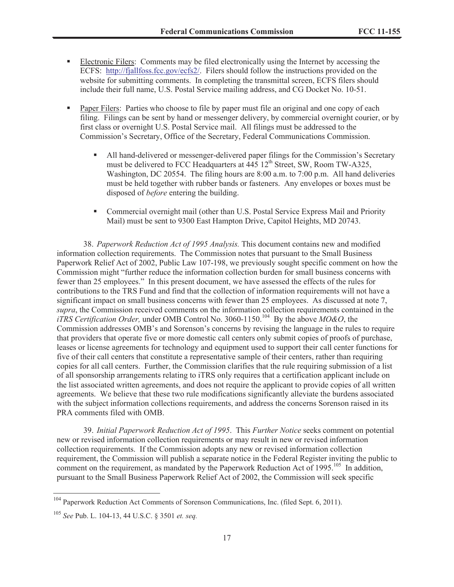- Electronic Filers: Comments may be filed electronically using the Internet by accessing the ECFS: http://fjallfoss.fcc.gov/ecfs2/. Filers should follow the instructions provided on the website for submitting comments. In completing the transmittal screen, ECFS filers should include their full name, U.S. Postal Service mailing address, and CG Docket No. 10-51.
- Paper Filers: Parties who choose to file by paper must file an original and one copy of each filing. Filings can be sent by hand or messenger delivery, by commercial overnight courier, or by first class or overnight U.S. Postal Service mail. All filings must be addressed to the Commission's Secretary, Office of the Secretary, Federal Communications Commission.
	- § All hand-delivered or messenger-delivered paper filings for the Commission's Secretary must be delivered to FCC Headquarters at  $\frac{445}{12}$ th Street, SW, Room TW-A325, Washington, DC 20554. The filing hours are 8:00 a.m. to 7:00 p.m. All hand deliveries must be held together with rubber bands or fasteners. Any envelopes or boxes must be disposed of *before* entering the building.
	- Commercial overnight mail (other than U.S. Postal Service Express Mail and Priority Mail) must be sent to 9300 East Hampton Drive, Capitol Heights, MD 20743.

38. *Paperwork Reduction Act of 1995 Analysis.* This document contains new and modified information collection requirements. The Commission notes that pursuant to the Small Business Paperwork Relief Act of 2002, Public Law 107-198, we previously sought specific comment on how the Commission might "further reduce the information collection burden for small business concerns with fewer than 25 employees." In this present document, we have assessed the effects of the rules for contributions to the TRS Fund and find that the collection of information requirements will not have a significant impact on small business concerns with fewer than 25 employees. As discussed at note 7, *supra*, the Commission received comments on the information collection requirements contained in the *iTRS Certification Order,* under OMB Control No. 3060-1150.<sup>104</sup> By the above *MO&O*, the Commission addresses OMB's and Sorenson's concerns by revising the language in the rules to require that providers that operate five or more domestic call centers only submit copies of proofs of purchase, leases or license agreements for technology and equipment used to support their call center functions for five of their call centers that constitute a representative sample of their centers, rather than requiring copies for all call centers. Further, the Commission clarifies that the rule requiring submission of a list of all sponsorship arrangements relating to iTRS only requires that a certification applicant include on the list associated written agreements, and does not require the applicant to provide copies of all written agreements. We believe that these two rule modifications significantly alleviate the burdens associated with the subject information collections requirements, and address the concerns Sorenson raised in its PRA comments filed with OMB.

39. *Initial Paperwork Reduction Act of 1995*. This *Further Notice* seeks comment on potential new or revised information collection requirements or may result in new or revised information collection requirements. If the Commission adopts any new or revised information collection requirement, the Commission will publish a separate notice in the Federal Register inviting the public to comment on the requirement, as mandated by the Paperwork Reduction Act of 1995.<sup>105</sup> In addition, pursuant to the Small Business Paperwork Relief Act of 2002, the Commission will seek specific

<sup>104</sup> Paperwork Reduction Act Comments of Sorenson Communications, Inc. (filed Sept. 6, 2011).

<sup>105</sup> *See* Pub. L. 104-13, 44 U.S.C. § 3501 *et. seq.*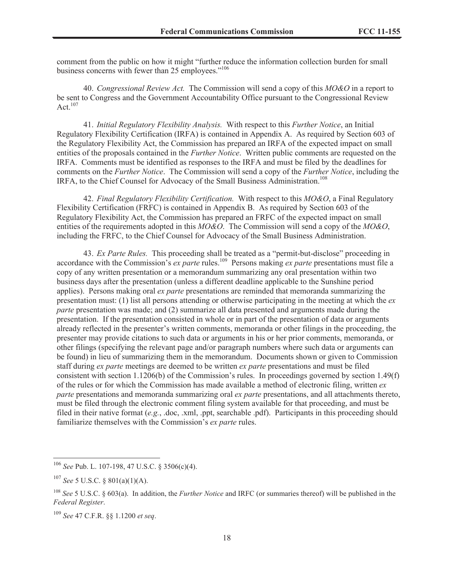comment from the public on how it might "further reduce the information collection burden for small business concerns with fewer than 25 employees."<sup>106</sup>

40. *Congressional Review Act.* The Commission will send a copy of this *MO&O* in a report to be sent to Congress and the Government Accountability Office pursuant to the Congressional Review Act. $107$ 

41. *Initial Regulatory Flexibility Analysis.* With respect to this *Further Notice*, an Initial Regulatory Flexibility Certification (IRFA) is contained in Appendix A. As required by Section 603 of the Regulatory Flexibility Act, the Commission has prepared an IRFA of the expected impact on small entities of the proposals contained in the *Further Notice*. Written public comments are requested on the IRFA. Comments must be identified as responses to the IRFA and must be filed by the deadlines for comments on the *Further Notice*. The Commission will send a copy of the *Further Notice*, including the IRFA, to the Chief Counsel for Advocacy of the Small Business Administration.<sup>108</sup>

42. *Final Regulatory Flexibility Certification.* With respect to this *MO&O*, a Final Regulatory Flexibility Certification (FRFC) is contained in Appendix B. As required by Section 603 of the Regulatory Flexibility Act, the Commission has prepared an FRFC of the expected impact on small entities of the requirements adopted in this *MO&O*. The Commission will send a copy of the *MO&O*, including the FRFC, to the Chief Counsel for Advocacy of the Small Business Administration.

43. *Ex Parte Rules.* This proceeding shall be treated as a "permit-but-disclose" proceeding in accordance with the Commission's *ex parte* rules.<sup>109</sup> Persons making *ex parte* presentations must file a copy of any written presentation or a memorandum summarizing any oral presentation within two business days after the presentation (unless a different deadline applicable to the Sunshine period applies). Persons making oral *ex parte* presentations are reminded that memoranda summarizing the presentation must: (1) list all persons attending or otherwise participating in the meeting at which the *ex parte* presentation was made; and (2) summarize all data presented and arguments made during the presentation. If the presentation consisted in whole or in part of the presentation of data or arguments already reflected in the presenter's written comments, memoranda or other filings in the proceeding, the presenter may provide citations to such data or arguments in his or her prior comments, memoranda, or other filings (specifying the relevant page and/or paragraph numbers where such data or arguments can be found) in lieu of summarizing them in the memorandum. Documents shown or given to Commission staff during *ex parte* meetings are deemed to be written *ex parte* presentations and must be filed consistent with section 1.1206(b) of the Commission's rules. In proceedings governed by section 1.49(f) of the rules or for which the Commission has made available a method of electronic filing, written *ex parte* presentations and memoranda summarizing oral *ex parte* presentations, and all attachments thereto, must be filed through the electronic comment filing system available for that proceeding, and must be filed in their native format (*e.g.*, .doc, .xml, .ppt, searchable .pdf). Participants in this proceeding should familiarize themselves with the Commission's *ex parte* rules.

<sup>106</sup> *See* Pub. L. 107-198, 47 U.S.C. § 3506(c)(4).

<sup>107</sup> *See* 5 U.S.C. § 801(a)(1)(A).

<sup>108</sup> *See* 5 U.S.C. § 603(a). In addition, the *Further Notice* and IRFC (or summaries thereof) will be published in the *Federal Register*.

<sup>109</sup> *See* 47 C.F.R. §§ 1.1200 *et seq*.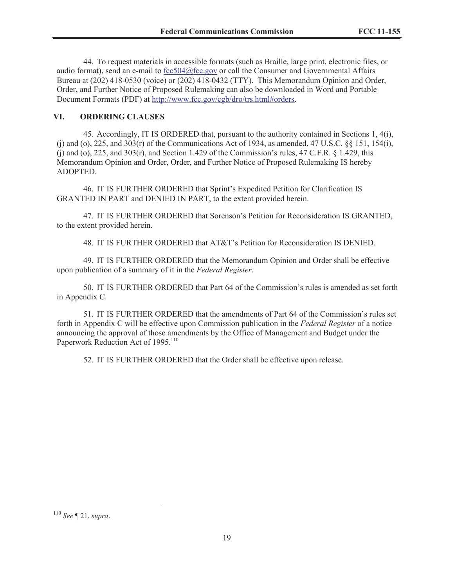44. To request materials in accessible formats (such as Braille, large print, electronic files, or audio format), send an e-mail to fcc504@fcc.gov or call the Consumer and Governmental Affairs Bureau at (202) 418-0530 (voice) or (202) 418-0432 (TTY). This Memorandum Opinion and Order, Order, and Further Notice of Proposed Rulemaking can also be downloaded in Word and Portable Document Formats (PDF) at http://www.fcc.gov/cgb/dro/trs.html#orders.

## **VI. ORDERING CLAUSES**

45. Accordingly, IT IS ORDERED that, pursuant to the authority contained in Sections 1, 4(i), (j) and (o), 225, and 303(r) of the Communications Act of 1934, as amended, 47 U.S.C. §§ 151, 154(i), (j) and (o), 225, and 303(r), and Section 1.429 of the Commission's rules, 47 C.F.R.  $\S$  1.429, this Memorandum Opinion and Order, Order, and Further Notice of Proposed Rulemaking IS hereby ADOPTED.

46. IT IS FURTHER ORDERED that Sprint's Expedited Petition for Clarification IS GRANTED IN PART and DENIED IN PART, to the extent provided herein.

47. IT IS FURTHER ORDERED that Sorenson's Petition for Reconsideration IS GRANTED, to the extent provided herein.

48. IT IS FURTHER ORDERED that AT&T's Petition for Reconsideration IS DENIED.

49. IT IS FURTHER ORDERED that the Memorandum Opinion and Order shall be effective upon publication of a summary of it in the *Federal Register*.

50. IT IS FURTHER ORDERED that Part 64 of the Commission's rules is amended as set forth in Appendix C.

51. IT IS FURTHER ORDERED that the amendments of Part 64 of the Commission's rules set forth in Appendix C will be effective upon Commission publication in the *Federal Register* of a notice announcing the approval of those amendments by the Office of Management and Budget under the Paperwork Reduction Act of 1995.<sup>110</sup>

52. IT IS FURTHER ORDERED that the Order shall be effective upon release.

<sup>110</sup> *See* ¶ 21, *supra*.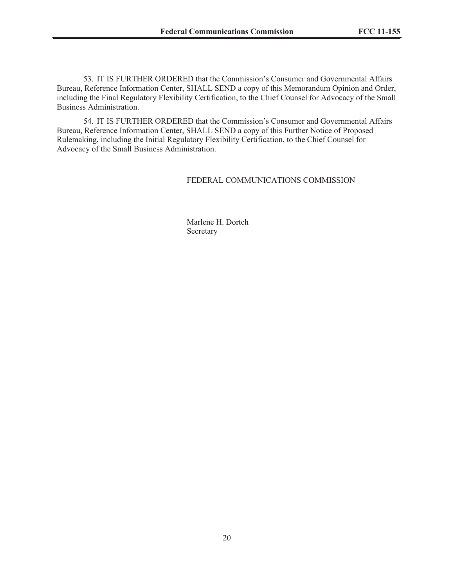53. IT IS FURTHER ORDERED that the Commission's Consumer and Governmental Affairs Bureau, Reference Information Center, SHALL SEND a copy of this Memorandum Opinion and Order, including the Final Regulatory Flexibility Certification, to the Chief Counsel for Advocacy of the Small Business Administration.

54. IT IS FURTHER ORDERED that the Commission's Consumer and Governmental Affairs Bureau, Reference Information Center, SHALL SEND a copy of this Further Notice of Proposed Rulemaking, including the Initial Regulatory Flexibility Certification, to the Chief Counsel for Advocacy of the Small Business Administration.

### FEDERAL COMMUNICATIONS COMMISSION

Marlene H. Dortch Secretary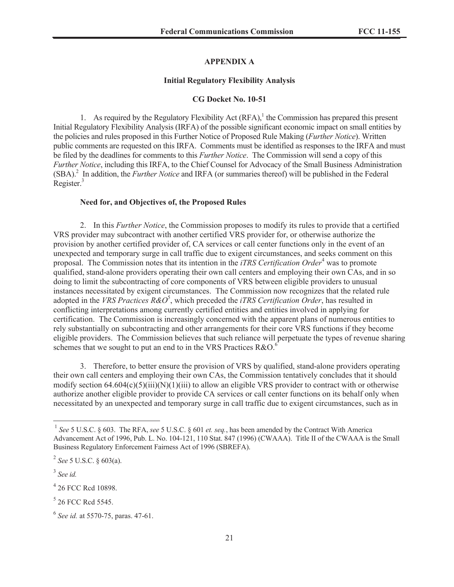### **APPENDIX A**

#### **Initial Regulatory Flexibility Analysis**

#### **CG Docket No. 10-51**

1. As required by the Regulatory Flexibility Act  $(RFA)$ ,<sup>1</sup> the Commission has prepared this present Initial Regulatory Flexibility Analysis (IRFA) of the possible significant economic impact on small entities by the policies and rules proposed in this Further Notice of Proposed Rule Making (*Further Notice*). Written public comments are requested on this IRFA. Comments must be identified as responses to the IRFA and must be filed by the deadlines for comments to this *Further Notice*. The Commission will send a copy of this *Further Notice*, including this IRFA, to the Chief Counsel for Advocacy of the Small Business Administration (SBA).<sup>2</sup> In addition, the *Further Notice* and IRFA (or summaries thereof) will be published in the Federal Register.<sup>3</sup>

#### **Need for, and Objectives of, the Proposed Rules**

2. In this *Further Notice*, the Commission proposes to modify its rules to provide that a certified VRS provider may subcontract with another certified VRS provider for, or otherwise authorize the provision by another certified provider of, CA services or call center functions only in the event of an unexpected and temporary surge in call traffic due to exigent circumstances, and seeks comment on this proposal. The Commission notes that its intention in the *iTRS Certification Order*<sup>4</sup> was to promote qualified, stand-alone providers operating their own call centers and employing their own CAs, and in so doing to limit the subcontracting of core components of VRS between eligible providers to unusual instances necessitated by exigent circumstances. The Commission now recognizes that the related rule adopted in the *VRS Practices R&O* 5 , which preceded the *iTRS Certification Order*, has resulted in conflicting interpretations among currently certified entities and entities involved in applying for certification. The Commission is increasingly concerned with the apparent plans of numerous entities to rely substantially on subcontracting and other arrangements for their core VRS functions if they become eligible providers. The Commission believes that such reliance will perpetuate the types of revenue sharing schemes that we sought to put an end to in the VRS Practices  $R&O.6$ <sup>6</sup>

3. Therefore, to better ensure the provision of VRS by qualified, stand-alone providers operating their own call centers and employing their own CAs, the Commission tentatively concludes that it should modify section  $64.604(c)(5)(iii)(N)(1)(iii)$  to allow an eligible VRS provider to contract with or otherwise authorize another eligible provider to provide CA services or call center functions on its behalf only when necessitated by an unexpected and temporary surge in call traffic due to exigent circumstances, such as in

<sup>1</sup> *See* 5 U.S.C. § 603. The RFA, *see* 5 U.S.C. § 601 *et. seq.*, has been amended by the Contract With America Advancement Act of 1996, Pub. L. No. 104-121, 110 Stat. 847 (1996) (CWAAA). Title II of the CWAAA is the Small Business Regulatory Enforcement Fairness Act of 1996 (SBREFA).

<sup>2</sup> *See* 5 U.S.C. § 603(a).

<sup>3</sup> *See id.*

<sup>4</sup> 26 FCC Rcd 10898.

<sup>&</sup>lt;sup>5</sup> 26 FCC Red 5545.

<sup>6</sup> *See id.* at 5570-75, paras. 47-61.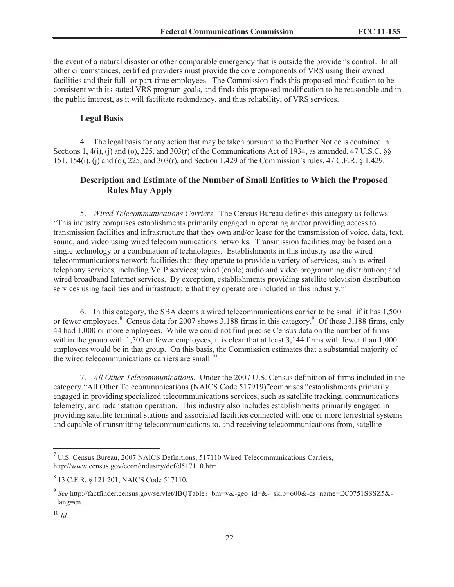the event of a natural disaster or other comparable emergency that is outside the provider's control. In all other circumstances, certified providers must provide the core components of VRS using their owned facilities and their full- or part-time employees. The Commission finds this proposed modification to be consistent with its stated VRS program goals, and finds this proposed modification to be reasonable and in the public interest, as it will facilitate redundancy, and thus reliability, of VRS services.

### **Legal Basis**

4. The legal basis for any action that may be taken pursuant to the Further Notice is contained in Sections 1, 4(i), (j) and (o), 225, and 303(r) of the Communications Act of 1934, as amended, 47 U.S.C. §§ 151, 154(i), (j) and (o), 225, and 303(r), and Section 1.429 of the Commission's rules, 47 C.F.R. § 1.429.

# **Description and Estimate of the Number of Small Entities to Which the Proposed Rules May Apply**

5. *Wired Telecommunications Carriers*. The Census Bureau defines this category as follows: "This industry comprises establishments primarily engaged in operating and/or providing access to transmission facilities and infrastructure that they own and/or lease for the transmission of voice, data, text, sound, and video using wired telecommunications networks. Transmission facilities may be based on a single technology or a combination of technologies. Establishments in this industry use the wired telecommunications network facilities that they operate to provide a variety of services, such as wired telephony services, including VoIP services; wired (cable) audio and video programming distribution; and wired broadband Internet services. By exception, establishments providing satellite television distribution services using facilities and infrastructure that they operate are included in this industry."<sup>7</sup>

6. In this category, the SBA deems a wired telecommunications carrier to be small if it has 1,500 or fewer employees.<sup>8</sup> Census data for 2007 shows 3,188 firms in this category.<sup>9</sup> Of these 3,188 firms, only 44 had 1,000 or more employees. While we could not find precise Census data on the number of firms within the group with 1,500 or fewer employees, it is clear that at least 3,144 firms with fewer than 1,000 employees would be in that group. On this basis, the Commission estimates that a substantial majority of the wired telecommunications carriers are small.<sup>10</sup>

7. *All Other Telecommunications.* Under the 2007 U.S. Census definition of firms included in the category "All Other Telecommunications (NAICS Code 517919)"comprises "establishments primarily engaged in providing specialized telecommunications services, such as satellite tracking, communications telemetry, and radar station operation. This industry also includes establishments primarily engaged in providing satellite terminal stations and associated facilities connected with one or more terrestrial systems and capable of transmitting telecommunications to, and receiving telecommunications from, satellite

<sup>7</sup> U.S. Census Bureau, 2007 NAICS Definitions, 517110 Wired Telecommunications Carriers, http://www.census.gov/econ/industry/def/d517110.htm.

<sup>8</sup> 13 C.F.R. § 121.201, NAICS Code 517110.

<sup>9</sup> *See* http://factfinder.census.gov/servlet/IBQTable?\_bm=y&-geo\_id=&-\_skip=600&-ds\_name=EC0751SSSZ5&- \_lang=en.

 $10 \, \overline{Id}$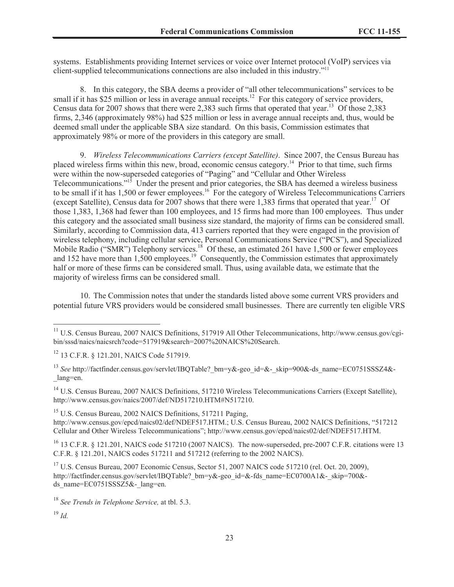systems. Establishments providing Internet services or voice over Internet protocol (VoIP) services via client-supplied telecommunications connections are also included in this industry." 11

8. In this category, the SBA deems a provider of "all other telecommunications" services to be small if it has \$25 million or less in average annual receipts.<sup>12</sup> For this category of service providers, Census data for 2007 shows that there were 2,383 such firms that operated that year.<sup>13</sup> Of those 2,383 firms, 2,346 (approximately 98%) had \$25 million or less in average annual receipts and, thus, would be deemed small under the applicable SBA size standard. On this basis, Commission estimates that approximately 98% or more of the providers in this category are small.

9. *Wireless Telecommunications Carriers (except Satellite)*. Since 2007, the Census Bureau has placed wireless firms within this new, broad, economic census category.<sup>14</sup> Prior to that time, such firms were within the now-superseded categories of "Paging" and "Cellular and Other Wireless Telecommunications."<sup>15</sup> Under the present and prior categories, the SBA has deemed a wireless business to be small if it has 1,500 or fewer employees.<sup>16</sup> For the category of Wireless Telecommunications Carriers (except Satellite), Census data for 2007 shows that there were 1,383 firms that operated that year.<sup>17</sup> Of those 1,383, 1,368 had fewer than 100 employees, and 15 firms had more than 100 employees. Thus under this category and the associated small business size standard, the majority of firms can be considered small. Similarly, according to Commission data, 413 carriers reported that they were engaged in the provision of wireless telephony, including cellular service, Personal Communications Service ("PCS"), and Specialized Mobile Radio ("SMR") Telephony services.<sup>18</sup> Of these, an estimated 261 have 1,500 or fewer employees and 152 have more than  $1,500$  employees.<sup>19</sup> Consequently, the Commission estimates that approximately half or more of these firms can be considered small. Thus, using available data, we estimate that the majority of wireless firms can be considered small.

10. The Commission notes that under the standards listed above some current VRS providers and potential future VRS providers would be considered small businesses. There are currently ten eligible VRS

<sup>14</sup> U.S. Census Bureau, 2007 NAICS Definitions, 517210 Wireless Telecommunications Carriers (Except Satellite), http://www.census.gov/naics/2007/def/ND517210.HTM#N517210.

<sup>15</sup> U.S. Census Bureau, 2002 NAICS Definitions, 517211 Paging, http://www.census.gov/epcd/naics02/def/NDEF517.HTM.; U.S. Census Bureau, 2002 NAICS Definitions, "517212 Cellular and Other Wireless Telecommunications"; http://www.census.gov/epcd/naics02/def/NDEF517.HTM.

<sup>16</sup> 13 C.F.R. § 121.201, NAICS code 517210 (2007 NAICS). The now-superseded, pre-2007 C.F.R. citations were 13 C.F.R. § 121.201, NAICS codes 517211 and 517212 (referring to the 2002 NAICS).

<sup>17</sup> U.S. Census Bureau, 2007 Economic Census, Sector 51, 2007 NAICS code 517210 (rel. Oct. 20, 2009), http://factfinder.census.gov/servlet/IBOTable? bm=y&-geo\_id=&-fds\_name=EC0700A1&-\_skip=700&ds\_name=EC0751SSSZ5&-\_lang=en.

<sup>&</sup>lt;sup>11</sup> U.S. Census Bureau, 2007 NAICS Definitions, 517919 All Other Telecommunications, http://www.census.gov/cgibin/sssd/naics/naicsrch?code=517919&search=2007%20NAICS%20Search.

<sup>12</sup> 13 C.F.R. § 121.201, NAICS Code 517919.

<sup>&</sup>lt;sup>13</sup> See http://factfinder.census.gov/servlet/IBQTable? bm=y&-geo\_id=&-\_skip=900&-ds\_name=EC0751SSSZ4&-\_lang=en.

<sup>18</sup> *See Trends in Telephone Service,* at tbl. 5.3.

<sup>19</sup> *Id.*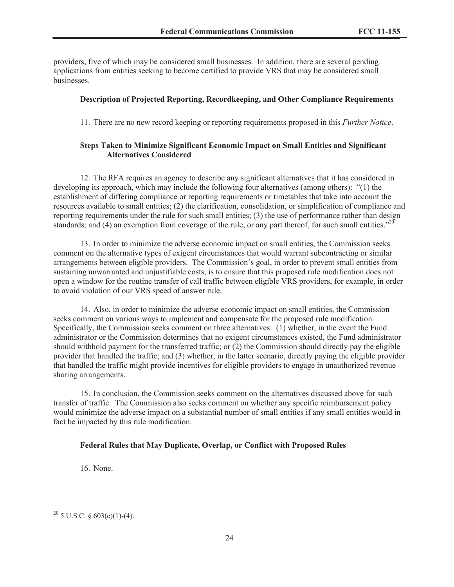providers, five of which may be considered small businesses. In addition, there are several pending applications from entities seeking to become certified to provide VRS that may be considered small businesses.

### **Description of Projected Reporting, Recordkeeping, and Other Compliance Requirements**

11. There are no new record keeping or reporting requirements proposed in this *Further Notice*.

### **Steps Taken to Minimize Significant Economic Impact on Small Entities and Significant Alternatives Considered**

12. The RFA requires an agency to describe any significant alternatives that it has considered in developing its approach, which may include the following four alternatives (among others): "(1) the establishment of differing compliance or reporting requirements or timetables that take into account the resources available to small entities; (2) the clarification, consolidation, or simplification of compliance and reporting requirements under the rule for such small entities; (3) the use of performance rather than design standards; and (4) an exemption from coverage of the rule, or any part thereof, for such small entities." $^{20}$ 

13. In order to minimize the adverse economic impact on small entities, the Commission seeks comment on the alternative types of exigent circumstances that would warrant subcontracting or similar arrangements between eligible providers. The Commission's goal, in order to prevent small entities from sustaining unwarranted and unjustifiable costs, is to ensure that this proposed rule modification does not open a window for the routine transfer of call traffic between eligible VRS providers, for example, in order to avoid violation of our VRS speed of answer rule.

14. Also, in order to minimize the adverse economic impact on small entities, the Commission seeks comment on various ways to implement and compensate for the proposed rule modification. Specifically, the Commission seeks comment on three alternatives: (1) whether, in the event the Fund administrator or the Commission determines that no exigent circumstances existed, the Fund administrator should withhold payment for the transferred traffic; or (2) the Commission should directly pay the eligible provider that handled the traffic; and (3) whether, in the latter scenario, directly paying the eligible provider that handled the traffic might provide incentives for eligible providers to engage in unauthorized revenue sharing arrangements.

15. In conclusion, the Commission seeks comment on the alternatives discussed above for such transfer of traffic. The Commission also seeks comment on whether any specific reimbursement policy would minimize the adverse impact on a substantial number of small entities if any small entities would in fact be impacted by this rule modification.

#### **Federal Rules that May Duplicate, Overlap, or Conflict with Proposed Rules**

16. None.

<sup>&</sup>lt;sup>20</sup> 5 U.S.C. § 603(c)(1)-(4).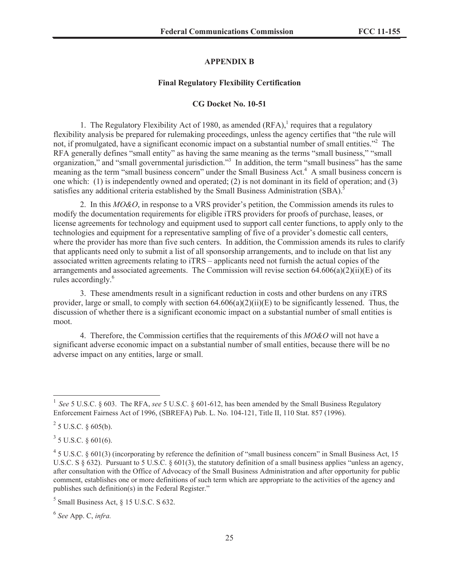### **APPENDIX B**

#### **Final Regulatory Flexibility Certification**

#### **CG Docket No. 10-51**

1. The Regulatory Flexibility Act of 1980, as amended  $(RFA)$ , requires that a regulatory flexibility analysis be prepared for rulemaking proceedings, unless the agency certifies that "the rule will not, if promulgated, have a significant economic impact on a substantial number of small entities."<sup>2</sup> The RFA generally defines "small entity" as having the same meaning as the terms "small business," "small organization," and "small governmental jurisdiction."<sup>3</sup> In addition, the term "small business" has the same meaning as the term "small business concern" under the Small Business Act.<sup>4</sup> A small business concern is one which: (1) is independently owned and operated; (2) is not dominant in its field of operation; and (3) satisfies any additional criteria established by the Small Business Administration (SBA).<sup>5</sup>

2. In this *MO&O*, in response to a VRS provider's petition, the Commission amends its rules to modify the documentation requirements for eligible iTRS providers for proofs of purchase, leases, or license agreements for technology and equipment used to support call center functions, to apply only to the technologies and equipment for a representative sampling of five of a provider's domestic call centers, where the provider has more than five such centers. In addition, the Commission amends its rules to clarify that applicants need only to submit a list of all sponsorship arrangements, and to include on that list any associated written agreements relating to iTRS – applicants need not furnish the actual copies of the arrangements and associated agreements. The Commission will revise section  $64.606(a)(2)(ii)(E)$  of its rules accordingly.<sup>6</sup>

3. These amendments result in a significant reduction in costs and other burdens on any iTRS provider, large or small, to comply with section  $64.606(a)(2)(ii)(E)$  to be significantly lessened. Thus, the discussion of whether there is a significant economic impact on a substantial number of small entities is moot.

4. Therefore, the Commission certifies that the requirements of this *MO&O* will not have a significant adverse economic impact on a substantial number of small entities, because there will be no adverse impact on any entities, large or small.

 $3$  5 U.S.C. § 601(6).

6 *See* App. C, *infra.*

<sup>&</sup>lt;sup>1</sup> See 5 U.S.C. § 603. The RFA, see 5 U.S.C. § 601-612, has been amended by the Small Business Regulatory Enforcement Fairness Act of 1996, (SBREFA) Pub. L. No. 104-121, Title II, 110 Stat. 857 (1996).

 $2^{2}$  5 U.S.C. § 605(b).

 $45$  U.S.C. § 601(3) (incorporating by reference the definition of "small business concern" in Small Business Act, 15 U.S.C. S  $\S 632$ ). Pursuant to 5 U.S.C.  $\S 601(3)$ , the statutory definition of a small business applies "unless an agency, after consultation with the Office of Advocacy of the Small Business Administration and after opportunity for public comment, establishes one or more definitions of such term which are appropriate to the activities of the agency and publishes such definition(s) in the Federal Register."

 $<sup>5</sup>$  Small Business Act, § 15 U.S.C. S 632.</sup>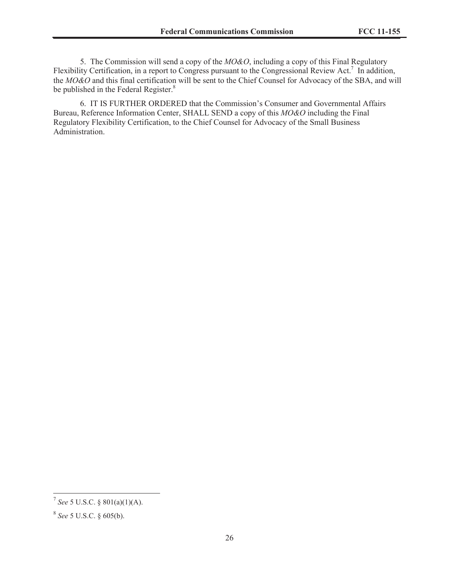5. The Commission will send a copy of the *MO&O*, including a copy of this Final Regulatory Flexibility Certification, in a report to Congress pursuant to the Congressional Review Act.<sup>7</sup> In addition, the *MO&O* and this final certification will be sent to the Chief Counsel for Advocacy of the SBA, and will be published in the Federal Register.<sup>8</sup>

6. IT IS FURTHER ORDERED that the Commission's Consumer and Governmental Affairs Bureau, Reference Information Center, SHALL SEND a copy of this *MO&O* including the Final Regulatory Flexibility Certification, to the Chief Counsel for Advocacy of the Small Business Administration.

<sup>7</sup> *See* 5 U.S.C. § 801(a)(1)(A).

<sup>8</sup> *See* 5 U.S.C. § 605(b).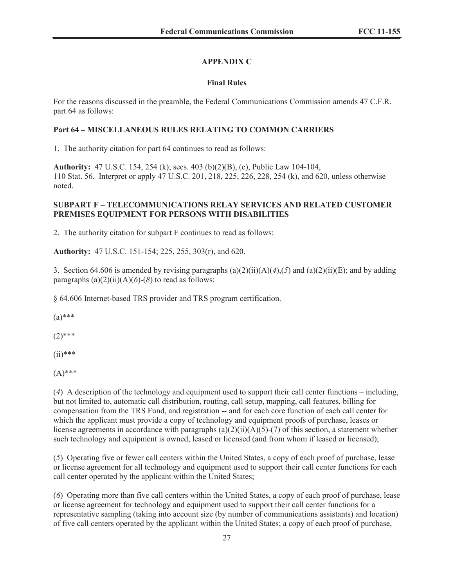# **APPENDIX C**

## **Final Rules**

For the reasons discussed in the preamble, the Federal Communications Commission amends 47 C.F.R. part 64 as follows:

## **Part 64 – MISCELLANEOUS RULES RELATING TO COMMON CARRIERS**

1. The authority citation for part 64 continues to read as follows:

**Authority:** 47 U.S.C. 154, 254 (k); secs. 403 (b)(2)(B), (c), Public Law 104-104, 110 Stat. 56. Interpret or apply 47 U.S.C. 201, 218, 225, 226, 228, 254 (k), and 620, unless otherwise noted.

## **SUBPART F – TELECOMMUNICATIONS RELAY SERVICES AND RELATED CUSTOMER PREMISES EQUIPMENT FOR PERSONS WITH DISABILITIES**

2. The authority citation for subpart F continues to read as follows:

**Authority:** 47 U.S.C. 151-154; 225, 255, 303(r), and 620.

3. Section 64.606 is amended by revising paragraphs  $(a)(2)(ii)(A)(4)$ ,  $(5)$  and  $(a)(2)(ii)(E)$ ; and by adding paragraphs  $(a)(2)(ii)(A)(6)-(8)$  to read as follows:

§ 64.606 Internet-based TRS provider and TRS program certification.

 $(a)$ \*\*\*

 $(2)$ \*\*\*

 $(ii)****$ 

(A)\*\*\*

(*4*) A description of the technology and equipment used to support their call center functions – including, but not limited to, automatic call distribution, routing, call setup, mapping, call features, billing for compensation from the TRS Fund, and registration -- and for each core function of each call center for which the applicant must provide a copy of technology and equipment proofs of purchase, leases or license agreements in accordance with paragraphs  $(a)(2)(ii)(A)(5)-(7)$  of this section, a statement whether such technology and equipment is owned, leased or licensed (and from whom if leased or licensed);

(*5*) Operating five or fewer call centers within the United States, a copy of each proof of purchase, lease or license agreement for all technology and equipment used to support their call center functions for each call center operated by the applicant within the United States;

(*6*) Operating more than five call centers within the United States, a copy of each proof of purchase, lease or license agreement for technology and equipment used to support their call center functions for a representative sampling (taking into account size (by number of communications assistants) and location) of five call centers operated by the applicant within the United States; a copy of each proof of purchase,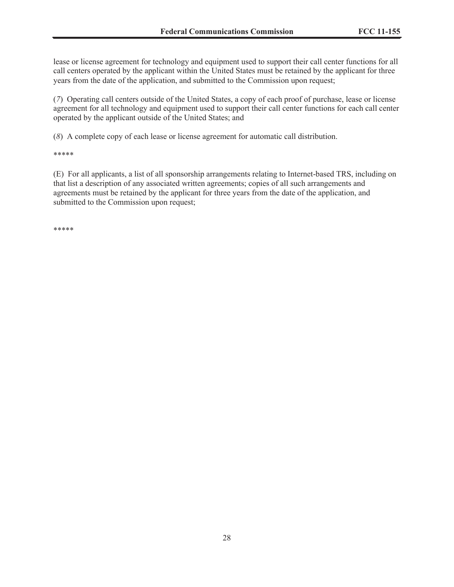lease or license agreement for technology and equipment used to support their call center functions for all call centers operated by the applicant within the United States must be retained by the applicant for three years from the date of the application, and submitted to the Commission upon request;

(*7*) Operating call centers outside of the United States, a copy of each proof of purchase, lease or license agreement for all technology and equipment used to support their call center functions for each call center operated by the applicant outside of the United States; and

(*8*) A complete copy of each lease or license agreement for automatic call distribution.

\*\*\*\*\*

(E) For all applicants, a list of all sponsorship arrangements relating to Internet-based TRS, including on that list a description of any associated written agreements; copies of all such arrangements and agreements must be retained by the applicant for three years from the date of the application, and submitted to the Commission upon request;

\*\*\*\*\*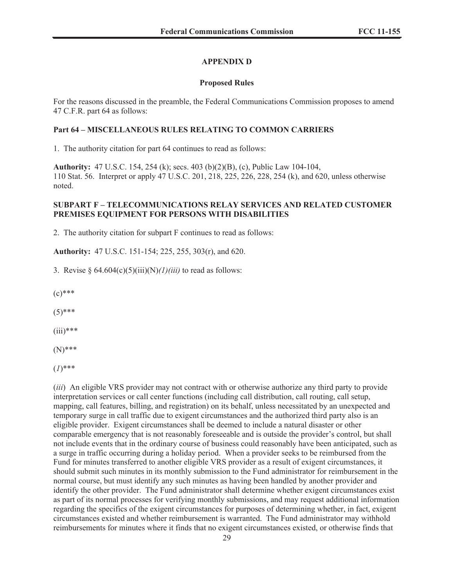### **APPENDIX D**

#### **Proposed Rules**

For the reasons discussed in the preamble, the Federal Communications Commission proposes to amend 47 C.F.R. part 64 as follows:

#### **Part 64 – MISCELLANEOUS RULES RELATING TO COMMON CARRIERS**

1. The authority citation for part 64 continues to read as follows:

**Authority:** 47 U.S.C. 154, 254 (k); secs. 403 (b)(2)(B), (c), Public Law 104-104, 110 Stat. 56. Interpret or apply 47 U.S.C. 201, 218, 225, 226, 228, 254 (k), and 620, unless otherwise noted.

### **SUBPART F – TELECOMMUNICATIONS RELAY SERVICES AND RELATED CUSTOMER PREMISES EQUIPMENT FOR PERSONS WITH DISABILITIES**

2. The authority citation for subpart F continues to read as follows:

**Authority:** 47 U.S.C. 151-154; 225, 255, 303(r), and 620.

3. Revise § 64.604(c)(5)(iii)(N)*(1)(iii)* to read as follows:

 $(c)$ \*\*\*

 $(5)$ \*\*\*

 $(iii)****$ 

(N)\*\*\*

(*1*)\*\*\*

(*iii*) An eligible VRS provider may not contract with or otherwise authorize any third party to provide interpretation services or call center functions (including call distribution, call routing, call setup, mapping, call features, billing, and registration) on its behalf, unless necessitated by an unexpected and temporary surge in call traffic due to exigent circumstances and the authorized third party also is an eligible provider. Exigent circumstances shall be deemed to include a natural disaster or other comparable emergency that is not reasonably foreseeable and is outside the provider's control, but shall not include events that in the ordinary course of business could reasonably have been anticipated, such as a surge in traffic occurring during a holiday period. When a provider seeks to be reimbursed from the Fund for minutes transferred to another eligible VRS provider as a result of exigent circumstances, it should submit such minutes in its monthly submission to the Fund administrator for reimbursement in the normal course, but must identify any such minutes as having been handled by another provider and identify the other provider. The Fund administrator shall determine whether exigent circumstances exist as part of its normal processes for verifying monthly submissions, and may request additional information regarding the specifics of the exigent circumstances for purposes of determining whether, in fact, exigent circumstances existed and whether reimbursement is warranted. The Fund administrator may withhold reimbursements for minutes where it finds that no exigent circumstances existed, or otherwise finds that